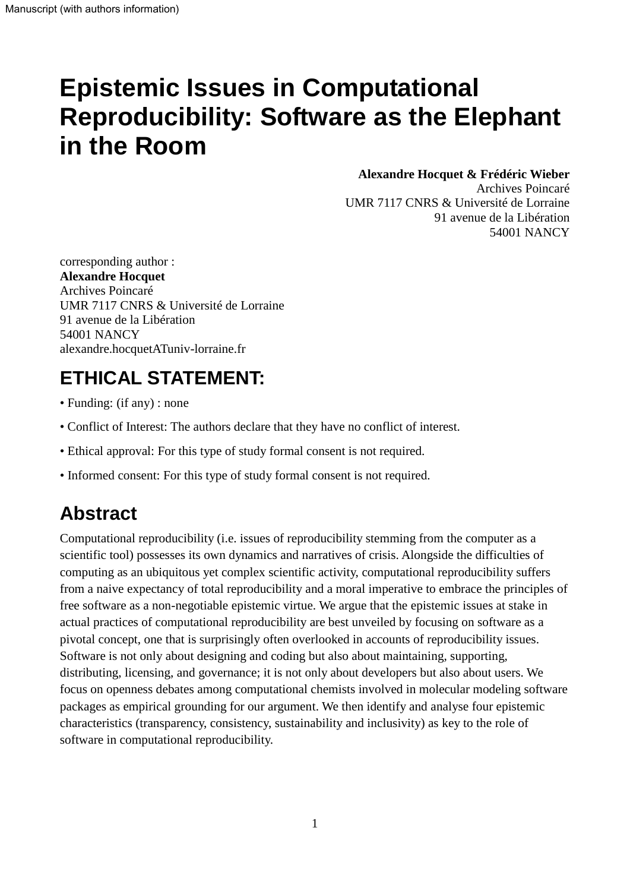# **Epistemic Issues in Computational Reproducibility: Software as the Elephant in the Room**

#### **Alexandre Hocquet & Frédéric Wieber**

Archives Poincaré UMR 7117 CNRS & Université de Lorraine 91 avenue de la Libération 54001 NANCY

corresponding author : **Alexandre Hocquet** Archives Poincaré UMR 7117 CNRS & Université de Lorraine 91 avenue de la Libération 54001 NANCY alexandre.hocquetATuniv-lorraine.fr

# **ETHICAL STATEMENT:**

- Funding: (if any) : none
- Conflict of Interest: The authors declare that they have no conflict of interest.
- Ethical approval: For this type of study formal consent is not required.
- Informed consent: For this type of study formal consent is not required.

### **Abstract**

Computational reproducibility (i.e. issues of reproducibility stemming from the computer as a scientific tool) possesses its own dynamics and narratives of crisis. Alongside the difficulties of computing as an ubiquitous yet complex scientific activity, computational reproducibility suffers from a naive expectancy of total reproducibility and a moral imperative to embrace the principles of free software as a non-negotiable epistemic virtue. We argue that the epistemic issues at stake in actual practices of computational reproducibility are best unveiled by focusing on software as a pivotal concept, one that is surprisingly often overlooked in accounts of reproducibility issues. Software is not only about designing and coding but also about maintaining, supporting, distributing, licensing, and governance; it is not only about developers but also about users. We focus on openness debates among computational chemists involved in molecular modeling software packages as empirical grounding for our argument. We then identify and analyse four epistemic characteristics (transparency, consistency, sustainability and inclusivity) as key to the role of software in computational reproducibility.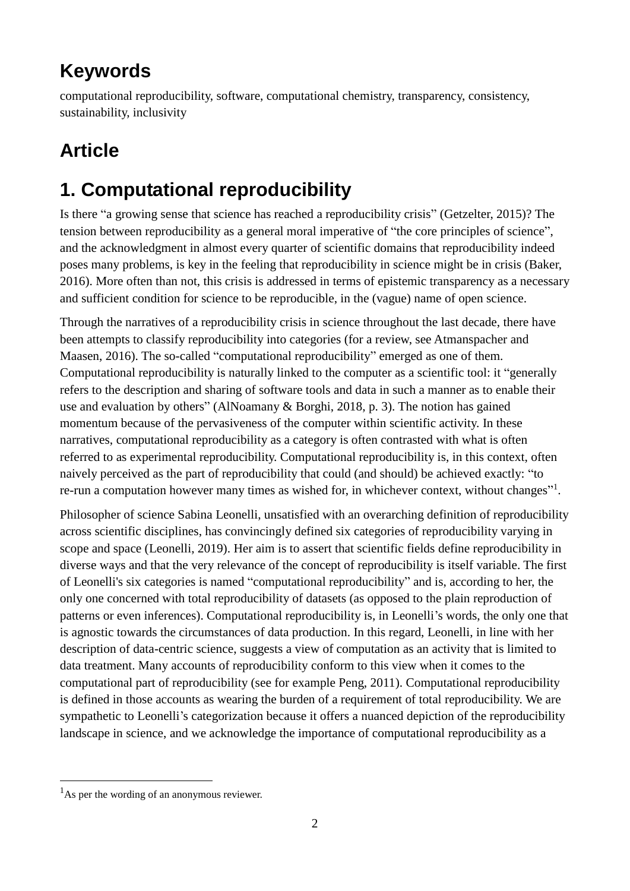# **Keywords**

computational reproducibility, software, computational chemistry, transparency, consistency, sustainability, inclusivity

# **Article**

# **1. Computational reproducibility**

Is there "a growing sense that science has reached a reproducibility crisis" (Getzelter, 2015)? The tension between reproducibility as a general moral imperative of "the core principles of science", and the acknowledgment in almost every quarter of scientific domains that reproducibility indeed poses many problems, is key in the feeling that reproducibility in science might be in crisis (Baker, 2016). More often than not, this crisis is addressed in terms of epistemic transparency as a necessary and sufficient condition for science to be reproducible, in the (vague) name of open science.

Through the narratives of a reproducibility crisis in science throughout the last decade, there have been attempts to classify reproducibility into categories (for a review, see Atmanspacher and Maasen, 2016). The so-called "computational reproducibility" emerged as one of them. Computational reproducibility is naturally linked to the computer as a scientific tool: it "generally refers to the description and sharing of software tools and data in such a manner as to enable their use and evaluation by others" (AlNoamany & Borghi, 2018, p. 3). The notion has gained momentum because of the pervasiveness of the computer within scientific activity. In these narratives, computational reproducibility as a category is often contrasted with what is often referred to as experimental reproducibility. Computational reproducibility is, in this context, often naively perceived as the part of reproducibility that could (and should) be achieved exactly: "to re-run a computation however many times as wished for, in whichever context, without changes"<sup>1</sup>.

Philosopher of science Sabina Leonelli, unsatisfied with an overarching definition of reproducibility across scientific disciplines, has convincingly defined six categories of reproducibility varying in scope and space (Leonelli, 2019). Her aim is to assert that scientific fields define reproducibility in diverse ways and that the very relevance of the concept of reproducibility is itself variable. The first of Leonelli's six categories is named "computational reproducibility" and is, according to her, the only one concerned with total reproducibility of datasets (as opposed to the plain reproduction of patterns or even inferences). Computational reproducibility is, in Leonelli's words, the only one that is agnostic towards the circumstances of data production. In this regard, Leonelli, in line with her description of data-centric science, suggests a view of computation as an activity that is limited to data treatment. Many accounts of reproducibility conform to this view when it comes to the computational part of reproducibility (see for example Peng, 2011). Computational reproducibility is defined in those accounts as wearing the burden of a requirement of total reproducibility. We are sympathetic to Leonelli's categorization because it offers a nuanced depiction of the reproducibility landscape in science, and we acknowledge the importance of computational reproducibility as a

1

 $<sup>1</sup>$ As per the wording of an anonymous reviewer.</sup>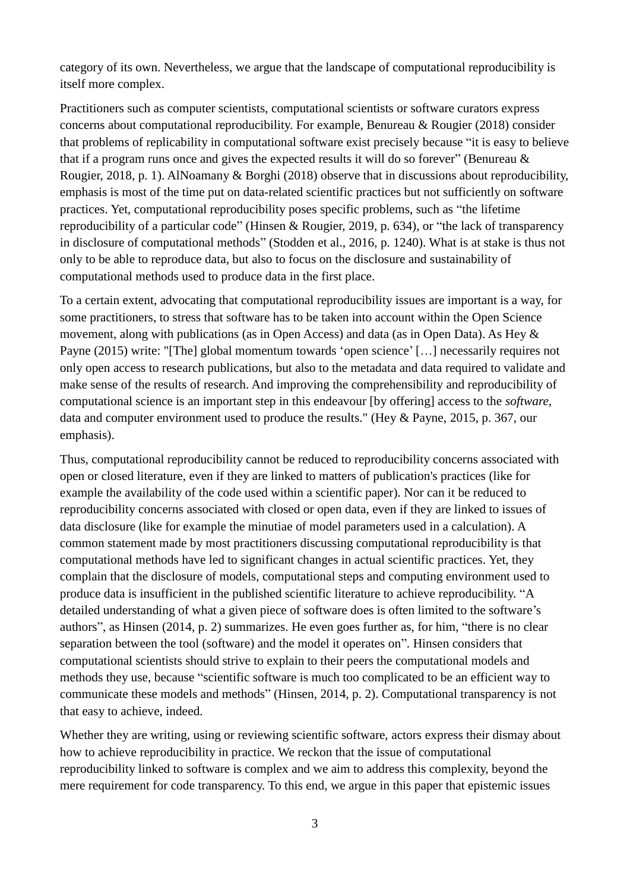category of its own. Nevertheless, we argue that the landscape of computational reproducibility is itself more complex.

Practitioners such as computer scientists, computational scientists or software curators express concerns about computational reproducibility. For example, Benureau & Rougier (2018) consider that problems of replicability in computational software exist precisely because "it is easy to believe that if a program runs once and gives the expected results it will do so forever" (Benureau  $\&$ Rougier, 2018, p. 1). AlNoamany & Borghi (2018) observe that in discussions about reproducibility, emphasis is most of the time put on data-related scientific practices but not sufficiently on software practices. Yet, computational reproducibility poses specific problems, such as "the lifetime reproducibility of a particular code" (Hinsen & Rougier, 2019, p. 634), or "the lack of transparency in disclosure of computational methods" (Stodden et al., 2016, p. 1240). What is at stake is thus not only to be able to reproduce data, but also to focus on the disclosure and sustainability of computational methods used to produce data in the first place.

To a certain extent, advocating that computational reproducibility issues are important is a way, for some practitioners, to stress that software has to be taken into account within the Open Science movement, along with publications (as in Open Access) and data (as in Open Data). As Hey & Payne (2015) write: "[The] global momentum towards 'open science' […] necessarily requires not only open access to research publications, but also to the metadata and data required to validate and make sense of the results of research. And improving the comprehensibility and reproducibility of computational science is an important step in this endeavour [by offering] access to the *software*, data and computer environment used to produce the results." (Hey & Payne, 2015, p. 367, our emphasis).

Thus, computational reproducibility cannot be reduced to reproducibility concerns associated with open or closed literature, even if they are linked to matters of publication's practices (like for example the availability of the code used within a scientific paper). Nor can it be reduced to reproducibility concerns associated with closed or open data, even if they are linked to issues of data disclosure (like for example the minutiae of model parameters used in a calculation). A common statement made by most practitioners discussing computational reproducibility is that computational methods have led to significant changes in actual scientific practices. Yet, they complain that the disclosure of models, computational steps and computing environment used to produce data is insufficient in the published scientific literature to achieve reproducibility. "A detailed understanding of what a given piece of software does is often limited to the software's authors", as Hinsen (2014, p. 2) summarizes. He even goes further as, for him, "there is no clear separation between the tool (software) and the model it operates on". Hinsen considers that computational scientists should strive to explain to their peers the computational models and methods they use, because "scientific software is much too complicated to be an efficient way to communicate these models and methods" (Hinsen, 2014, p. 2). Computational transparency is not that easy to achieve, indeed.

Whether they are writing, using or reviewing scientific software, actors express their dismay about how to achieve reproducibility in practice. We reckon that the issue of computational reproducibility linked to software is complex and we aim to address this complexity, beyond the mere requirement for code transparency. To this end, we argue in this paper that epistemic issues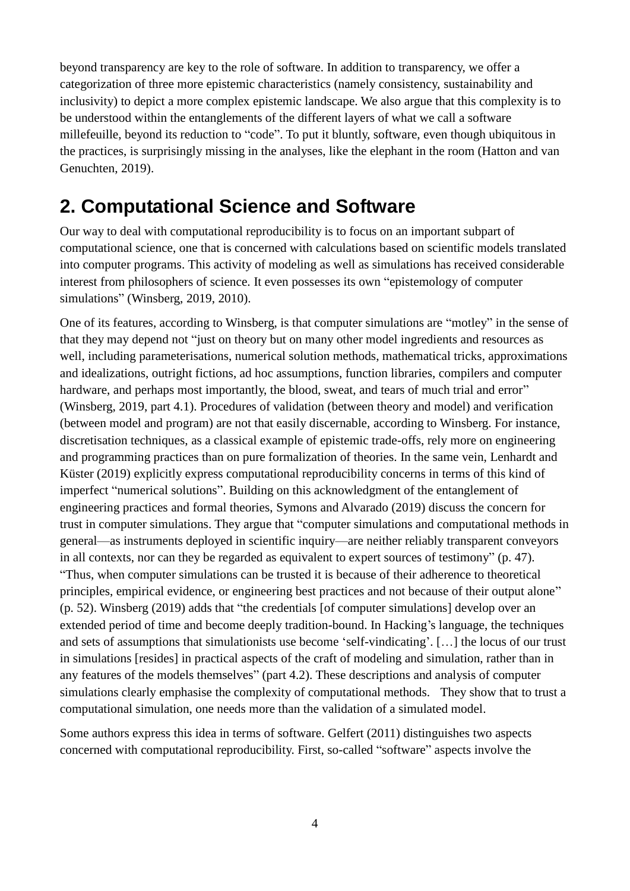beyond transparency are key to the role of software. In addition to transparency, we offer a categorization of three more epistemic characteristics (namely consistency, sustainability and inclusivity) to depict a more complex epistemic landscape. We also argue that this complexity is to be understood within the entanglements of the different layers of what we call a software millefeuille, beyond its reduction to "code". To put it bluntly, software, even though ubiquitous in the practices, is surprisingly missing in the analyses, like the elephant in the room (Hatton and van Genuchten, 2019).

#### **2. Computational Science and Software**

Our way to deal with computational reproducibility is to focus on an important subpart of computational science, one that is concerned with calculations based on scientific models translated into computer programs. This activity of modeling as well as simulations has received considerable interest from philosophers of science. It even possesses its own "epistemology of computer simulations" (Winsberg, 2019, 2010).

One of its features, according to Winsberg, is that computer simulations are "motley" in the sense of that they may depend not "just on theory but on many other model ingredients and resources as well, including parameterisations, numerical solution methods, mathematical tricks, approximations and idealizations, outright fictions, ad hoc assumptions, function libraries, compilers and computer hardware, and perhaps most importantly, the blood, sweat, and tears of much trial and error" (Winsberg, 2019, part 4.1). Procedures of validation (between theory and model) and verification (between model and program) are not that easily discernable, according to Winsberg. For instance, discretisation techniques, as a classical example of epistemic trade-offs, rely more on engineering and programming practices than on pure formalization of theories. In the same vein, Lenhardt and Küster (2019) explicitly express computational reproducibility concerns in terms of this kind of imperfect "numerical solutions". Building on this acknowledgment of the entanglement of engineering practices and formal theories, Symons and Alvarado (2019) discuss the concern for trust in computer simulations. They argue that "computer simulations and computational methods in general—as instruments deployed in scientific inquiry—are neither reliably transparent conveyors in all contexts, nor can they be regarded as equivalent to expert sources of testimony" (p. 47). "Thus, when computer simulations can be trusted it is because of their adherence to theoretical principles, empirical evidence, or engineering best practices and not because of their output alone" (p. 52). Winsberg (2019) adds that "the credentials [of computer simulations] develop over an extended period of time and become deeply tradition-bound. In Hacking's language, the techniques and sets of assumptions that simulationists use become 'self-vindicating'. […] the locus of our trust in simulations [resides] in practical aspects of the craft of modeling and simulation, rather than in any features of the models themselves" (part 4.2). These descriptions and analysis of computer simulations clearly emphasise the complexity of computational methods. They show that to trust a computational simulation, one needs more than the validation of a simulated model.

Some authors express this idea in terms of software. Gelfert (2011) distinguishes two aspects concerned with computational reproducibility. First, so-called "software" aspects involve the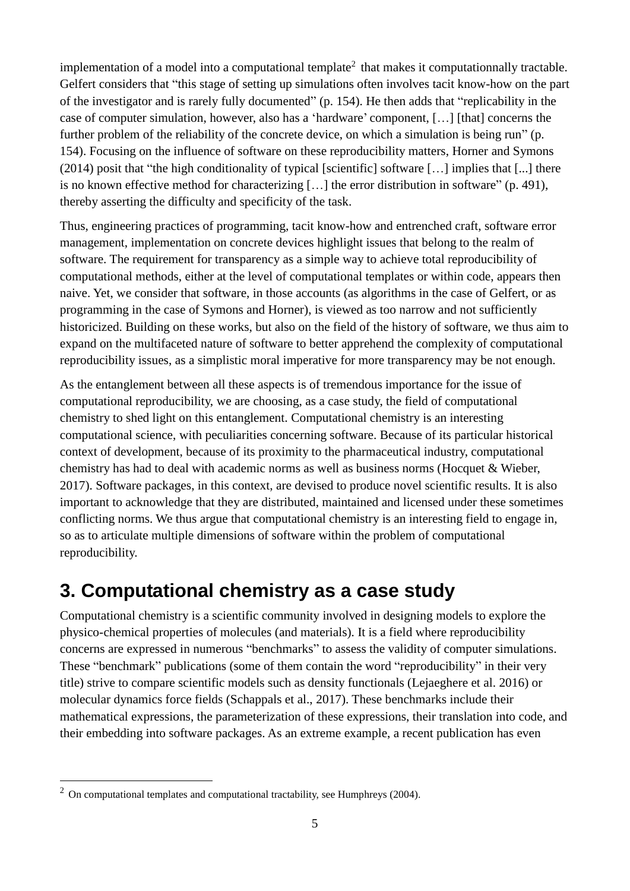implementation of a model into a computational template<sup>2</sup> that makes it computationnally tractable. Gelfert considers that "this stage of setting up simulations often involves tacit know-how on the part of the investigator and is rarely fully documented" (p. 154). He then adds that "replicability in the case of computer simulation, however, also has a 'hardware' component, […] [that] concerns the further problem of the reliability of the concrete device, on which a simulation is being run" (p. 154). Focusing on the influence of software on these reproducibility matters, Horner and Symons (2014) posit that "the high conditionality of typical [scientific] software […] implies that [...] there is no known effective method for characterizing […] the error distribution in software" (p. 491), thereby asserting the difficulty and specificity of the task.

Thus, engineering practices of programming, tacit know-how and entrenched craft, software error management, implementation on concrete devices highlight issues that belong to the realm of software. The requirement for transparency as a simple way to achieve total reproducibility of computational methods, either at the level of computational templates or within code, appears then naive. Yet, we consider that software, in those accounts (as algorithms in the case of Gelfert, or as programming in the case of Symons and Horner), is viewed as too narrow and not sufficiently historicized. Building on these works, but also on the field of the history of software, we thus aim to expand on the multifaceted nature of software to better apprehend the complexity of computational reproducibility issues, as a simplistic moral imperative for more transparency may be not enough.

As the entanglement between all these aspects is of tremendous importance for the issue of computational reproducibility, we are choosing, as a case study, the field of computational chemistry to shed light on this entanglement. Computational chemistry is an interesting computational science, with peculiarities concerning software. Because of its particular historical context of development, because of its proximity to the pharmaceutical industry, computational chemistry has had to deal with academic norms as well as business norms (Hocquet & Wieber, 2017). Software packages, in this context, are devised to produce novel scientific results. It is also important to acknowledge that they are distributed, maintained and licensed under these sometimes conflicting norms. We thus argue that computational chemistry is an interesting field to engage in, so as to articulate multiple dimensions of software within the problem of computational reproducibility.

#### **3. Computational chemistry as a case study**

Computational chemistry is a scientific community involved in designing models to explore the physico-chemical properties of molecules (and materials). It is a field where reproducibility concerns are expressed in numerous "benchmarks" to assess the validity of computer simulations. These "benchmark" publications (some of them contain the word "reproducibility" in their very title) strive to compare scientific models such as density functionals (Lejaeghere et al. 2016) or molecular dynamics force fields (Schappals et al., 2017). These benchmarks include their mathematical expressions, the parameterization of these expressions, their translation into code, and their embedding into software packages. As an extreme example, a recent publication has even

1

 $2$  On computational templates and computational tractability, see Humphreys (2004).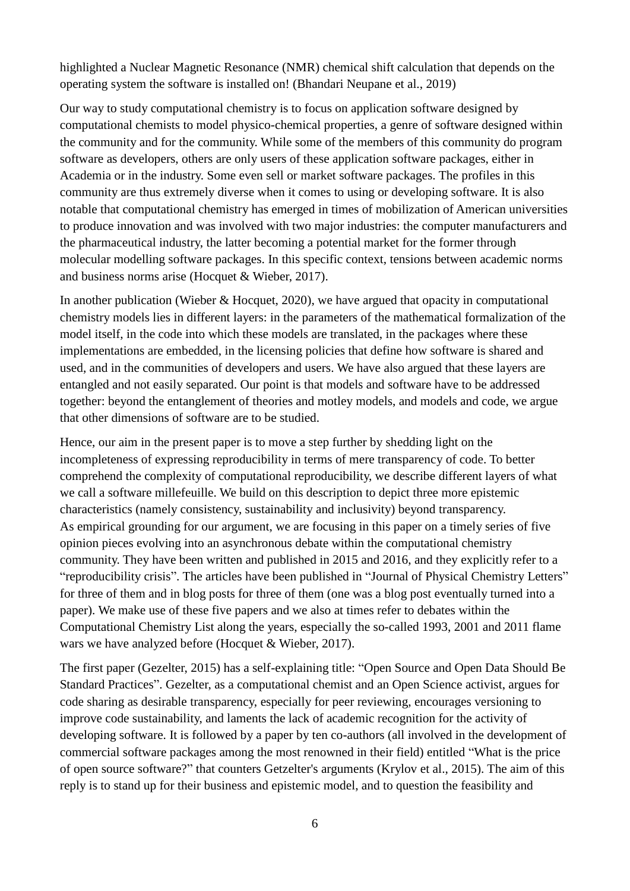highlighted a Nuclear Magnetic Resonance (NMR) chemical shift calculation that depends on the operating system the software is installed on! (Bhandari Neupane et al., 2019)

Our way to study computational chemistry is to focus on application software designed by computational chemists to model physico-chemical properties, a genre of software designed within the community and for the community. While some of the members of this community do program software as developers, others are only users of these application software packages, either in Academia or in the industry. Some even sell or market software packages. The profiles in this community are thus extremely diverse when it comes to using or developing software. It is also notable that computational chemistry has emerged in times of mobilization of American universities to produce innovation and was involved with two major industries: the computer manufacturers and the pharmaceutical industry, the latter becoming a potential market for the former through molecular modelling software packages. In this specific context, tensions between academic norms and business norms arise (Hocquet & Wieber, 2017).

In another publication (Wieber & Hocquet, 2020), we have argued that opacity in computational chemistry models lies in different layers: in the parameters of the mathematical formalization of the model itself, in the code into which these models are translated, in the packages where these implementations are embedded, in the licensing policies that define how software is shared and used, and in the communities of developers and users. We have also argued that these layers are entangled and not easily separated. Our point is that models and software have to be addressed together: beyond the entanglement of theories and motley models, and models and code, we argue that other dimensions of software are to be studied.

Hence, our aim in the present paper is to move a step further by shedding light on the incompleteness of expressing reproducibility in terms of mere transparency of code. To better comprehend the complexity of computational reproducibility, we describe different layers of what we call a software millefeuille. We build on this description to depict three more epistemic characteristics (namely consistency, sustainability and inclusivity) beyond transparency. As empirical grounding for our argument, we are focusing in this paper on a timely series of five opinion pieces evolving into an asynchronous debate within the computational chemistry community. They have been written and published in 2015 and 2016, and they explicitly refer to a "reproducibility crisis". The articles have been published in "Journal of Physical Chemistry Letters" for three of them and in blog posts for three of them (one was a blog post eventually turned into a paper). We make use of these five papers and we also at times refer to debates within the Computational Chemistry List along the years, especially the so-called 1993, 2001 and 2011 flame wars we have analyzed before (Hocquet & Wieber, 2017).

The first paper (Gezelter, 2015) has a self-explaining title: "Open Source and Open Data Should Be Standard Practices". Gezelter, as a computational chemist and an Open Science activist, argues for code sharing as desirable transparency, especially for peer reviewing, encourages versioning to improve code sustainability, and laments the lack of academic recognition for the activity of developing software. It is followed by a paper by ten co-authors (all involved in the development of commercial software packages among the most renowned in their field) entitled "What is the price of open source software?" that counters Getzelter's arguments (Krylov et al., 2015). The aim of this reply is to stand up for their business and epistemic model, and to question the feasibility and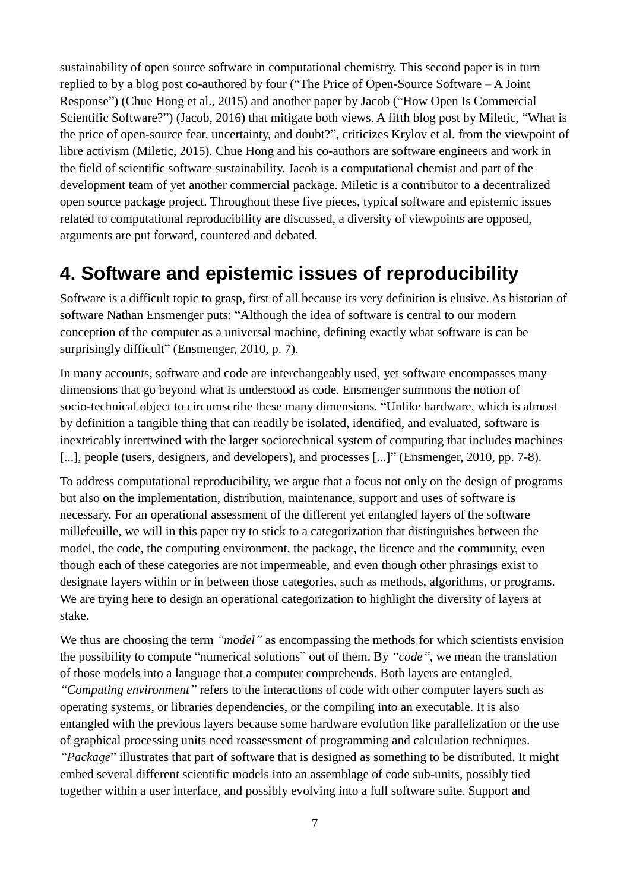sustainability of open source software in computational chemistry. This second paper is in turn replied to by a blog post co-authored by four ("The Price of Open-Source Software – A Joint Response") (Chue Hong et al., 2015) and another paper by Jacob ("How Open Is Commercial Scientific Software?") (Jacob, 2016) that mitigate both views. A fifth blog post by Miletic, "What is the price of open-source fear, uncertainty, and doubt?", criticizes Krylov et al. from the viewpoint of libre activism (Miletic, 2015). Chue Hong and his co-authors are software engineers and work in the field of scientific software sustainability. Jacob is a computational chemist and part of the development team of yet another commercial package. Miletic is a contributor to a decentralized open source package project. Throughout these five pieces, typical software and epistemic issues related to computational reproducibility are discussed, a diversity of viewpoints are opposed, arguments are put forward, countered and debated.

#### **4. Software and epistemic issues of reproducibility**

Software is a difficult topic to grasp, first of all because its very definition is elusive. As historian of software Nathan Ensmenger puts: "Although the idea of software is central to our modern conception of the computer as a universal machine, defining exactly what software is can be surprisingly difficult" (Ensmenger, 2010, p. 7).

In many accounts, software and code are interchangeably used, yet software encompasses many dimensions that go beyond what is understood as code. Ensmenger summons the notion of socio-technical object to circumscribe these many dimensions. "Unlike hardware, which is almost by definition a tangible thing that can readily be isolated, identified, and evaluated, software is inextricably intertwined with the larger sociotechnical system of computing that includes machines [...], people (users, designers, and developers), and processes [...]" (Ensmenger, 2010, pp. 7-8).

To address computational reproducibility, we argue that a focus not only on the design of programs but also on the implementation, distribution, maintenance, support and uses of software is necessary. For an operational assessment of the different yet entangled layers of the software millefeuille, we will in this paper try to stick to a categorization that distinguishes between the model, the code, the computing environment, the package, the licence and the community, even though each of these categories are not impermeable, and even though other phrasings exist to designate layers within or in between those categories, such as methods, algorithms, or programs. We are trying here to design an operational categorization to highlight the diversity of layers at stake.

We thus are choosing the term *"model"* as encompassing the methods for which scientists envision the possibility to compute "numerical solutions" out of them. By *"code"*, we mean the translation of those models into a language that a computer comprehends. Both layers are entangled. *"Computing environment"* refers to the interactions of code with other computer layers such as operating systems, or libraries dependencies, or the compiling into an executable. It is also entangled with the previous layers because some hardware evolution like parallelization or the use of graphical processing units need reassessment of programming and calculation techniques. *"Package*" illustrates that part of software that is designed as something to be distributed. It might embed several different scientific models into an assemblage of code sub-units, possibly tied together within a user interface, and possibly evolving into a full software suite. Support and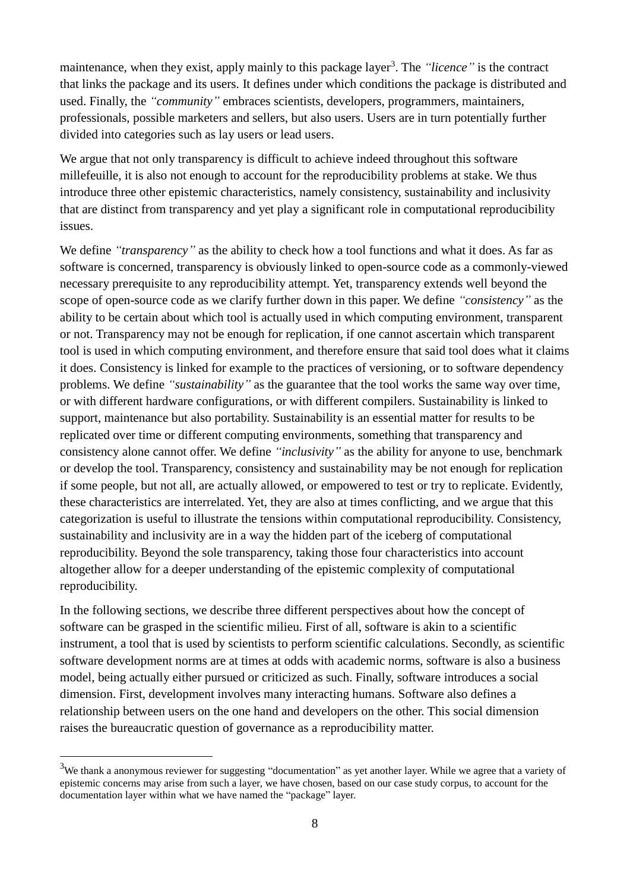maintenance, when they exist, apply mainly to this package layer<sup>3</sup>. The "licence" is the contract that links the package and its users. It defines under which conditions the package is distributed and used. Finally, the *"community"* embraces scientists, developers, programmers, maintainers, professionals, possible marketers and sellers, but also users. Users are in turn potentially further divided into categories such as lay users or lead users.

We argue that not only transparency is difficult to achieve indeed throughout this software millefeuille, it is also not enough to account for the reproducibility problems at stake. We thus introduce three other epistemic characteristics, namely consistency, sustainability and inclusivity that are distinct from transparency and yet play a significant role in computational reproducibility issues.

We define *"transparency*" as the ability to check how a tool functions and what it does. As far as software is concerned, transparency is obviously linked to open-source code as a commonly-viewed necessary prerequisite to any reproducibility attempt. Yet, transparency extends well beyond the scope of open-source code as we clarify further down in this paper. We define *"consistency"* as the ability to be certain about which tool is actually used in which computing environment, transparent or not. Transparency may not be enough for replication, if one cannot ascertain which transparent tool is used in which computing environment, and therefore ensure that said tool does what it claims it does. Consistency is linked for example to the practices of versioning, or to software dependency problems. We define *"sustainability"* as the guarantee that the tool works the same way over time, or with different hardware configurations, or with different compilers. Sustainability is linked to support, maintenance but also portability. Sustainability is an essential matter for results to be replicated over time or different computing environments, something that transparency and consistency alone cannot offer. We define *"inclusivity"* as the ability for anyone to use, benchmark or develop the tool. Transparency, consistency and sustainability may be not enough for replication if some people, but not all, are actually allowed, or empowered to test or try to replicate. Evidently, these characteristics are interrelated. Yet, they are also at times conflicting, and we argue that this categorization is useful to illustrate the tensions within computational reproducibility. Consistency, sustainability and inclusivity are in a way the hidden part of the iceberg of computational reproducibility. Beyond the sole transparency, taking those four characteristics into account altogether allow for a deeper understanding of the epistemic complexity of computational reproducibility.

In the following sections, we describe three different perspectives about how the concept of software can be grasped in the scientific milieu. First of all, software is akin to a scientific instrument, a tool that is used by scientists to perform scientific calculations. Secondly, as scientific software development norms are at times at odds with academic norms, software is also a business model, being actually either pursued or criticized as such. Finally, software introduces a social dimension. First, development involves many interacting humans. Software also defines a relationship between users on the one hand and developers on the other. This social dimension raises the bureaucratic question of governance as a reproducibility matter.

1

 $3$ We thank a anonymous reviewer for suggesting "documentation" as yet another layer. While we agree that a variety of epistemic concerns may arise from such a layer, we have chosen, based on our case study corpus, to account for the documentation layer within what we have named the "package" layer.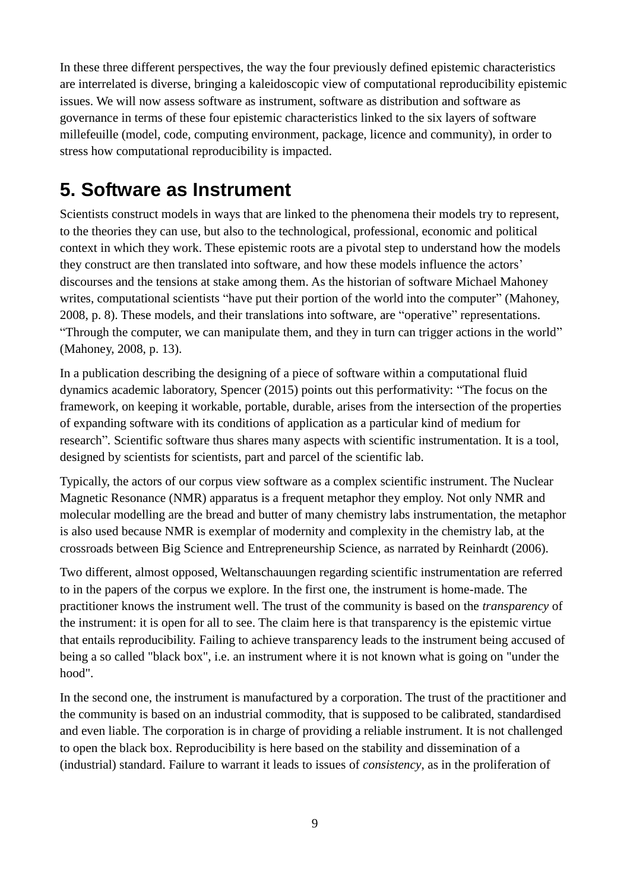In these three different perspectives, the way the four previously defined epistemic characteristics are interrelated is diverse, bringing a kaleidoscopic view of computational reproducibility epistemic issues. We will now assess software as instrument, software as distribution and software as governance in terms of these four epistemic characteristics linked to the six layers of software millefeuille (model, code, computing environment, package, licence and community), in order to stress how computational reproducibility is impacted.

### **5. Software as Instrument**

Scientists construct models in ways that are linked to the phenomena their models try to represent, to the theories they can use, but also to the technological, professional, economic and political context in which they work. These epistemic roots are a pivotal step to understand how the models they construct are then translated into software, and how these models influence the actors' discourses and the tensions at stake among them. As the historian of software Michael Mahoney writes, computational scientists "have put their portion of the world into the computer" (Mahoney, 2008, p. 8). These models, and their translations into software, are "operative" representations. "Through the computer, we can manipulate them, and they in turn can trigger actions in the world" (Mahoney, 2008, p. 13).

In a publication describing the designing of a piece of software within a computational fluid dynamics academic laboratory, Spencer (2015) points out this performativity: "The focus on the framework, on keeping it workable, portable, durable, arises from the intersection of the properties of expanding software with its conditions of application as a particular kind of medium for research"*.* Scientific software thus shares many aspects with scientific instrumentation. It is a tool, designed by scientists for scientists, part and parcel of the scientific lab.

Typically, the actors of our corpus view software as a complex scientific instrument. The Nuclear Magnetic Resonance (NMR) apparatus is a frequent metaphor they employ. Not only NMR and molecular modelling are the bread and butter of many chemistry labs instrumentation, the metaphor is also used because NMR is exemplar of modernity and complexity in the chemistry lab, at the crossroads between Big Science and Entrepreneurship Science, as narrated by Reinhardt (2006).

Two different, almost opposed, Weltanschauungen regarding scientific instrumentation are referred to in the papers of the corpus we explore. In the first one, the instrument is home-made. The practitioner knows the instrument well. The trust of the community is based on the *transparency* of the instrument: it is open for all to see. The claim here is that transparency is the epistemic virtue that entails reproducibility. Failing to achieve transparency leads to the instrument being accused of being a so called "black box", i.e. an instrument where it is not known what is going on "under the hood".

In the second one, the instrument is manufactured by a corporation. The trust of the practitioner and the community is based on an industrial commodity, that is supposed to be calibrated, standardised and even liable. The corporation is in charge of providing a reliable instrument. It is not challenged to open the black box. Reproducibility is here based on the stability and dissemination of a (industrial) standard. Failure to warrant it leads to issues of *consistency*, as in the proliferation of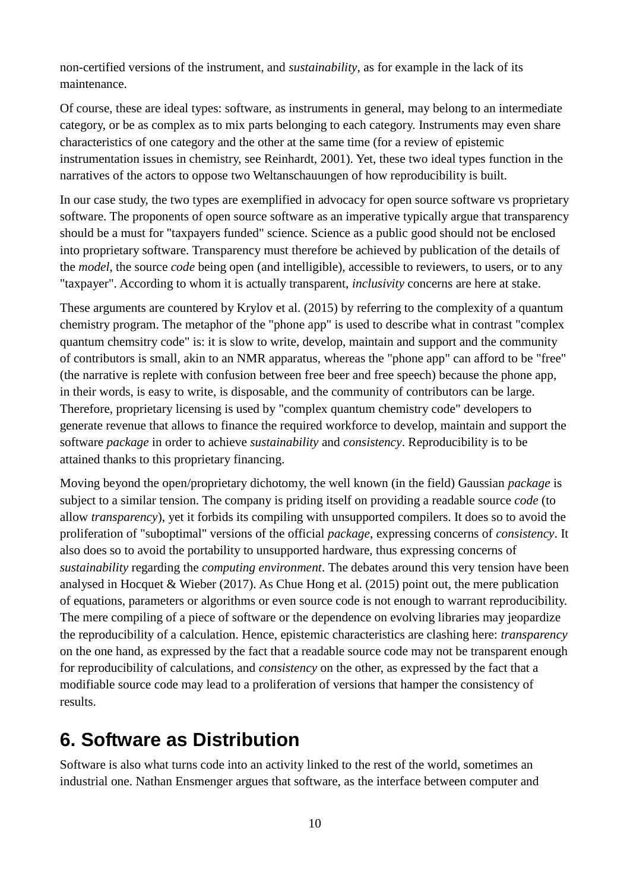non-certified versions of the instrument, and *sustainability*, as for example in the lack of its maintenance.

Of course, these are ideal types: software, as instruments in general, may belong to an intermediate category, or be as complex as to mix parts belonging to each category. Instruments may even share characteristics of one category and the other at the same time (for a review of epistemic instrumentation issues in chemistry, see Reinhardt, 2001). Yet, these two ideal types function in the narratives of the actors to oppose two Weltanschauungen of how reproducibility is built.

In our case study, the two types are exemplified in advocacy for open source software vs proprietary software. The proponents of open source software as an imperative typically argue that transparency should be a must for "taxpayers funded" science. Science as a public good should not be enclosed into proprietary software. Transparency must therefore be achieved by publication of the details of the *model*, the source *code* being open (and intelligible), accessible to reviewers, to users, or to any "taxpayer". According to whom it is actually transparent, *inclusivity* concerns are here at stake.

These arguments are countered by Krylov et al. (2015) by referring to the complexity of a quantum chemistry program. The metaphor of the "phone app" is used to describe what in contrast "complex quantum chemsitry code" is: it is slow to write, develop, maintain and support and the community of contributors is small, akin to an NMR apparatus, whereas the "phone app" can afford to be "free" (the narrative is replete with confusion between free beer and free speech) because the phone app, in their words, is easy to write, is disposable, and the community of contributors can be large. Therefore, proprietary licensing is used by "complex quantum chemistry code" developers to generate revenue that allows to finance the required workforce to develop, maintain and support the software *package* in order to achieve *sustainability* and *consistency*. Reproducibility is to be attained thanks to this proprietary financing.

Moving beyond the open/proprietary dichotomy, the well known (in the field) Gaussian *package* is subject to a similar tension. The company is priding itself on providing a readable source *code* (to allow *transparency*), yet it forbids its compiling with unsupported compilers. It does so to avoid the proliferation of "suboptimal" versions of the official *package*, expressing concerns of *consistency*. It also does so to avoid the portability to unsupported hardware, thus expressing concerns of *sustainability* regarding the *computing environment*. The debates around this very tension have been analysed in Hocquet & Wieber (2017). As Chue Hong et al. (2015) point out, the mere publication of equations, parameters or algorithms or even source code is not enough to warrant reproducibility. The mere compiling of a piece of software or the dependence on evolving libraries may jeopardize the reproducibility of a calculation. Hence, epistemic characteristics are clashing here: *transparency* on the one hand, as expressed by the fact that a readable source code may not be transparent enough for reproducibility of calculations, and *consistency* on the other, as expressed by the fact that a modifiable source code may lead to a proliferation of versions that hamper the consistency of results.

#### **6. Software as Distribution**

Software is also what turns code into an activity linked to the rest of the world, sometimes an industrial one. Nathan Ensmenger argues that software, as the interface between computer and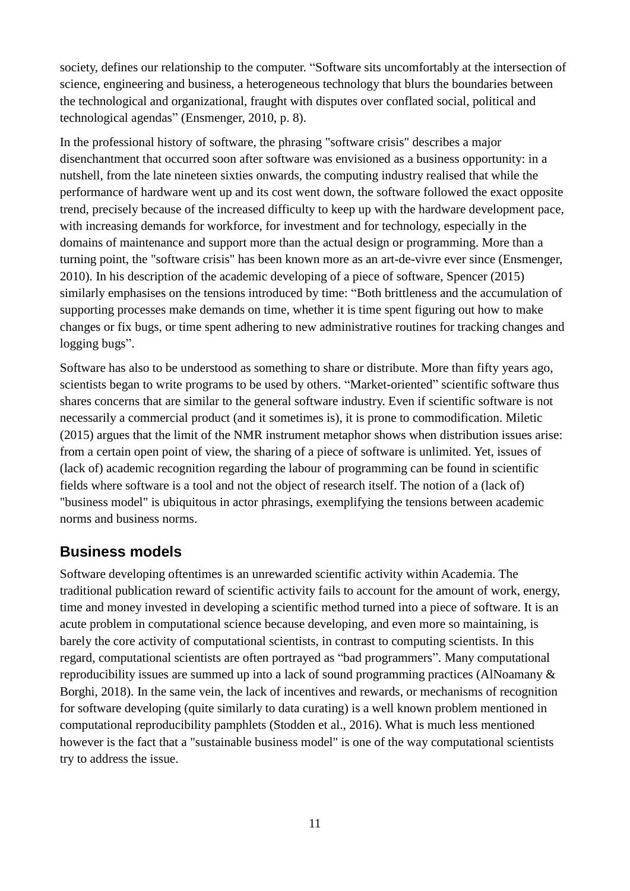society, defines our relationship to the computer. "Software sits uncomfortably at the intersection of science, engineering and business, a heterogeneous technology that blurs the boundaries between the technological and organizational, fraught with disputes over conflated social, political and technological agendas" (Ensmenger, 2010, p. 8).

In the professional history of software, the phrasing "software crisis" describes a major disenchantment that occurred soon after software was envisioned as a business opportunity: in a nutshell, from the late nineteen sixties onwards, the computing industry realised that while the performance of hardware went up and its cost went down, the software followed the exact opposite trend, precisely because of the increased difficulty to keep up with the hardware development pace, with increasing demands for workforce, for investment and for technology, especially in the domains of maintenance and support more than the actual design or programming. More than a turning point, the "software crisis" has been known more as an art-de-vivre ever since (Ensmenger, 2010). In his description of the academic developing of a piece of software, Spencer (2015) similarly emphasises on the tensions introduced by time: "Both brittleness and the accumulation of supporting processes make demands on time, whether it is time spent figuring out how to make changes or fix bugs, or time spent adhering to new administrative routines for tracking changes and logging bugs".

Software has also to be understood as something to share or distribute. More than fifty years ago, scientists began to write programs to be used by others. "Market-oriented" scientific software thus shares concerns that are similar to the general software industry. Even if scientific software is not necessarily a commercial product (and it sometimes is), it is prone to commodification. Miletic (2015) argues that the limit of the NMR instrument metaphor shows when distribution issues arise: from a certain open point of view, the sharing of a piece of software is unlimited. Yet, issues of (lack of) academic recognition regarding the labour of programming can be found in scientific fields where software is a tool and not the object of research itself. The notion of a (lack of) "business model" is ubiquitous in actor phrasings, exemplifying the tensions between academic norms and business norms.

#### **Business models**

Software developing oftentimes is an unrewarded scientific activity within Academia. The traditional publication reward of scientific activity fails to account for the amount of work, energy, time and money invested in developing a scientific method turned into a piece of software. It is an acute problem in computational science because developing, and even more so maintaining, is barely the core activity of computational scientists, in contrast to computing scientists. In this regard, computational scientists are often portrayed as "bad programmers". Many computational reproducibility issues are summed up into a lack of sound programming practices (AlNoamany & Borghi, 2018). In the same vein, the lack of incentives and rewards, or mechanisms of recognition for software developing (quite similarly to data curating) is a well known problem mentioned in computational reproducibility pamphlets (Stodden et al., 2016). What is much less mentioned however is the fact that a "sustainable business model" is one of the way computational scientists try to address the issue.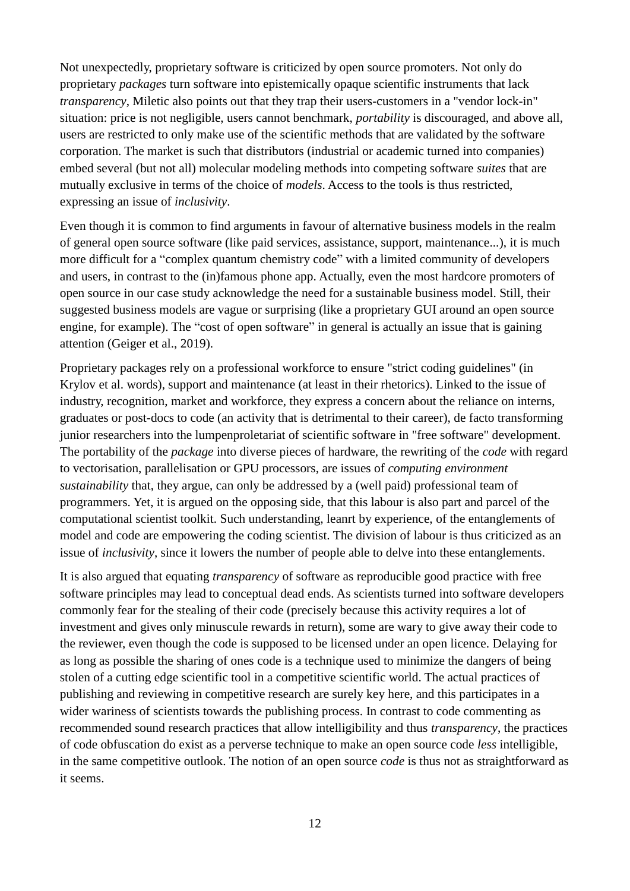Not unexpectedly, proprietary software is criticized by open source promoters. Not only do proprietary *packages* turn software into epistemically opaque scientific instruments that lack *transparency*, Miletic also points out that they trap their users-customers in a "vendor lock-in" situation: price is not negligible, users cannot benchmark, *portability* is discouraged, and above all, users are restricted to only make use of the scientific methods that are validated by the software corporation. The market is such that distributors (industrial or academic turned into companies) embed several (but not all) molecular modeling methods into competing software *suites* that are mutually exclusive in terms of the choice of *models*. Access to the tools is thus restricted, expressing an issue of *inclusivity*.

Even though it is common to find arguments in favour of alternative business models in the realm of general open source software (like paid services, assistance, support, maintenance...), it is much more difficult for a "complex quantum chemistry code" with a limited community of developers and users, in contrast to the (in)famous phone app. Actually, even the most hardcore promoters of open source in our case study acknowledge the need for a sustainable business model. Still, their suggested business models are vague or surprising (like a proprietary GUI around an open source engine, for example). The "cost of open software" in general is actually an issue that is gaining attention (Geiger et al., 2019).

Proprietary packages rely on a professional workforce to ensure "strict coding guidelines" (in Krylov et al. words), support and maintenance (at least in their rhetorics). Linked to the issue of industry, recognition, market and workforce, they express a concern about the reliance on interns, graduates or post-docs to code (an activity that is detrimental to their career), de facto transforming junior researchers into the lumpenproletariat of scientific software in "free software" development. The portability of the *package* into diverse pieces of hardware, the rewriting of the *code* with regard to vectorisation, parallelisation or GPU processors, are issues of *computing environment sustainability* that, they argue, can only be addressed by a (well paid) professional team of programmers. Yet, it is argued on the opposing side, that this labour is also part and parcel of the computational scientist toolkit. Such understanding, leanrt by experience, of the entanglements of model and code are empowering the coding scientist. The division of labour is thus criticized as an issue of *inclusivity*, since it lowers the number of people able to delve into these entanglements.

It is also argued that equating *transparency* of software as reproducible good practice with free software principles may lead to conceptual dead ends. As scientists turned into software developers commonly fear for the stealing of their code (precisely because this activity requires a lot of investment and gives only minuscule rewards in return), some are wary to give away their code to the reviewer, even though the code is supposed to be licensed under an open licence. Delaying for as long as possible the sharing of ones code is a technique used to minimize the dangers of being stolen of a cutting edge scientific tool in a competitive scientific world. The actual practices of publishing and reviewing in competitive research are surely key here, and this participates in a wider wariness of scientists towards the publishing process. In contrast to code commenting as recommended sound research practices that allow intelligibility and thus *transparency*, the practices of code obfuscation do exist as a perverse technique to make an open source code *less* intelligible, in the same competitive outlook. The notion of an open source *code* is thus not as straightforward as it seems.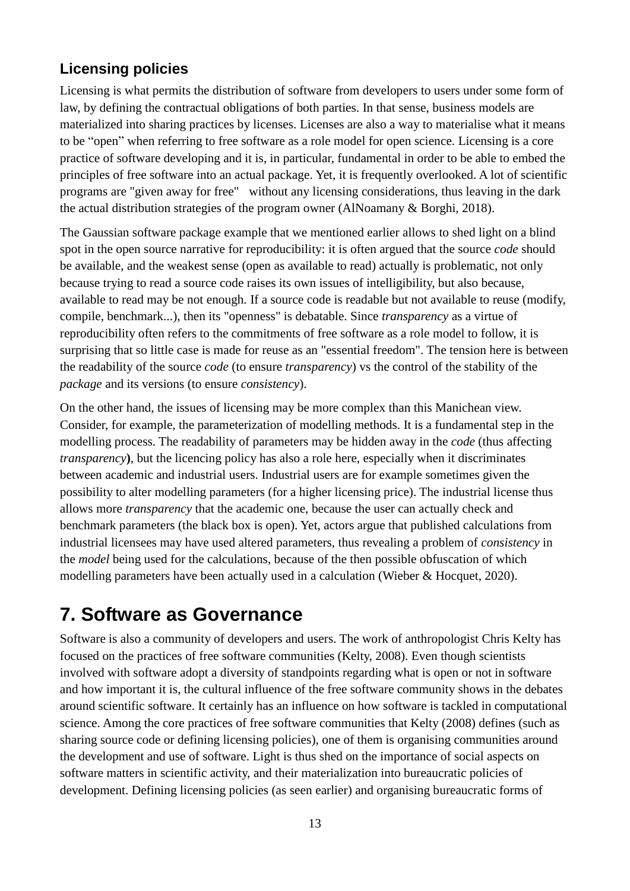#### **Licensing policies**

Licensing is what permits the distribution of software from developers to users under some form of law, by defining the contractual obligations of both parties. In that sense, business models are materialized into sharing practices by licenses. Licenses are also a way to materialise what it means to be "open" when referring to free software as a role model for open science. Licensing is a core practice of software developing and it is, in particular, fundamental in order to be able to embed the principles of free software into an actual package. Yet, it is frequently overlooked. A lot of scientific programs are "given away for free" without any licensing considerations, thus leaving in the dark the actual distribution strategies of the program owner (AlNoamany & Borghi, 2018).

The Gaussian software package example that we mentioned earlier allows to shed light on a blind spot in the open source narrative for reproducibility: it is often argued that the source *code* should be available, and the weakest sense (open as available to read) actually is problematic, not only because trying to read a source code raises its own issues of intelligibility, but also because, available to read may be not enough. If a source code is readable but not available to reuse (modify, compile, benchmark...), then its "openness" is debatable. Since *transparency* as a virtue of reproducibility often refers to the commitments of free software as a role model to follow, it is surprising that so little case is made for reuse as an "essential freedom". The tension here is between the readability of the source *code* (to ensure *transparency*) vs the control of the stability of the *package* and its versions (to ensure *consistency*).

On the other hand, the issues of licensing may be more complex than this Manichean view. Consider, for example, the parameterization of modelling methods. It is a fundamental step in the modelling process. The readability of parameters may be hidden away in the *code* (thus affecting *transparency***)**, but the licencing policy has also a role here, especially when it discriminates between academic and industrial users. Industrial users are for example sometimes given the possibility to alter modelling parameters (for a higher licensing price). The industrial license thus allows more *transparency* that the academic one, because the user can actually check and benchmark parameters (the black box is open). Yet, actors argue that published calculations from industrial licensees may have used altered parameters, thus revealing a problem of *consistency* in the *model* being used for the calculations, because of the then possible obfuscation of which modelling parameters have been actually used in a calculation (Wieber & Hocquet, 2020).

### **7. Software as Governance**

Software is also a community of developers and users. The work of anthropologist Chris Kelty has focused on the practices of free software communities (Kelty, 2008). Even though scientists involved with software adopt a diversity of standpoints regarding what is open or not in software and how important it is, the cultural influence of the free software community shows in the debates around scientific software. It certainly has an influence on how software is tackled in computational science. Among the core practices of free software communities that Kelty (2008) defines (such as sharing source code or defining licensing policies), one of them is organising communities around the development and use of software. Light is thus shed on the importance of social aspects on software matters in scientific activity, and their materialization into bureaucratic policies of development. Defining licensing policies (as seen earlier) and organising bureaucratic forms of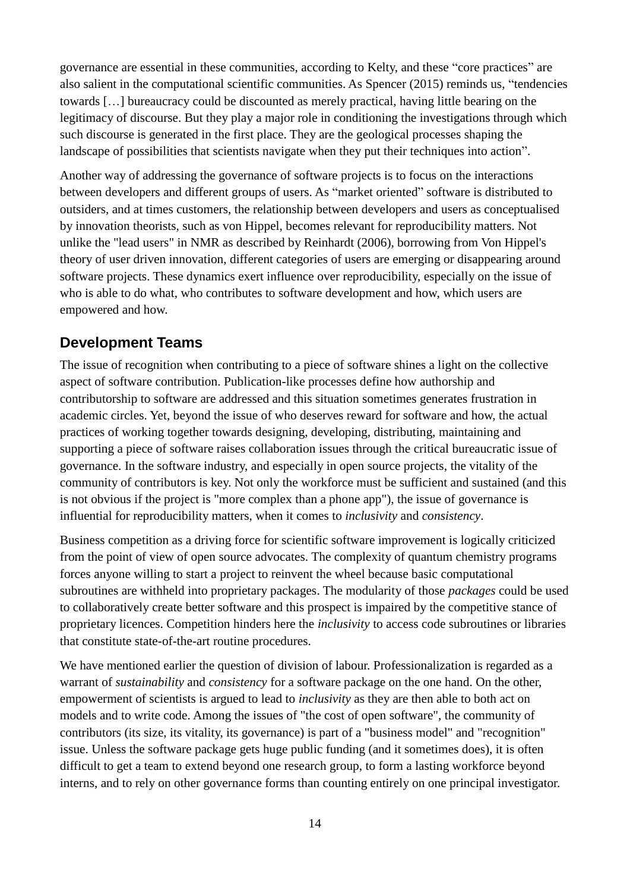governance are essential in these communities, according to Kelty, and these "core practices" are also salient in the computational scientific communities. As Spencer (2015) reminds us, "tendencies towards […] bureaucracy could be discounted as merely practical, having little bearing on the legitimacy of discourse. But they play a major role in conditioning the investigations through which such discourse is generated in the first place. They are the geological processes shaping the landscape of possibilities that scientists navigate when they put their techniques into action".

Another way of addressing the governance of software projects is to focus on the interactions between developers and different groups of users. As "market oriented" software is distributed to outsiders, and at times customers, the relationship between developers and users as conceptualised by innovation theorists, such as von Hippel, becomes relevant for reproducibility matters. Not unlike the "lead users" in NMR as described by Reinhardt (2006), borrowing from Von Hippel's theory of user driven innovation, different categories of users are emerging or disappearing around software projects. These dynamics exert influence over reproducibility, especially on the issue of who is able to do what, who contributes to software development and how, which users are empowered and how.

#### **Development Teams**

The issue of recognition when contributing to a piece of software shines a light on the collective aspect of software contribution. Publication-like processes define how authorship and contributorship to software are addressed and this situation sometimes generates frustration in academic circles. Yet, beyond the issue of who deserves reward for software and how, the actual practices of working together towards designing, developing, distributing, maintaining and supporting a piece of software raises collaboration issues through the critical bureaucratic issue of governance. In the software industry, and especially in open source projects, the vitality of the community of contributors is key. Not only the workforce must be sufficient and sustained (and this is not obvious if the project is "more complex than a phone app"), the issue of governance is influential for reproducibility matters, when it comes to *inclusivity* and *consistency*.

Business competition as a driving force for scientific software improvement is logically criticized from the point of view of open source advocates. The complexity of quantum chemistry programs forces anyone willing to start a project to reinvent the wheel because basic computational subroutines are withheld into proprietary packages. The modularity of those *packages* could be used to collaboratively create better software and this prospect is impaired by the competitive stance of proprietary licences. Competition hinders here the *inclusivity* to access code subroutines or libraries that constitute state-of-the-art routine procedures.

We have mentioned earlier the question of division of labour. Professionalization is regarded as a warrant of *sustainability* and *consistency* for a software package on the one hand. On the other, empowerment of scientists is argued to lead to *inclusivity* as they are then able to both act on models and to write code. Among the issues of "the cost of open software", the community of contributors (its size, its vitality, its governance) is part of a "business model" and "recognition" issue. Unless the software package gets huge public funding (and it sometimes does), it is often difficult to get a team to extend beyond one research group, to form a lasting workforce beyond interns, and to rely on other governance forms than counting entirely on one principal investigator.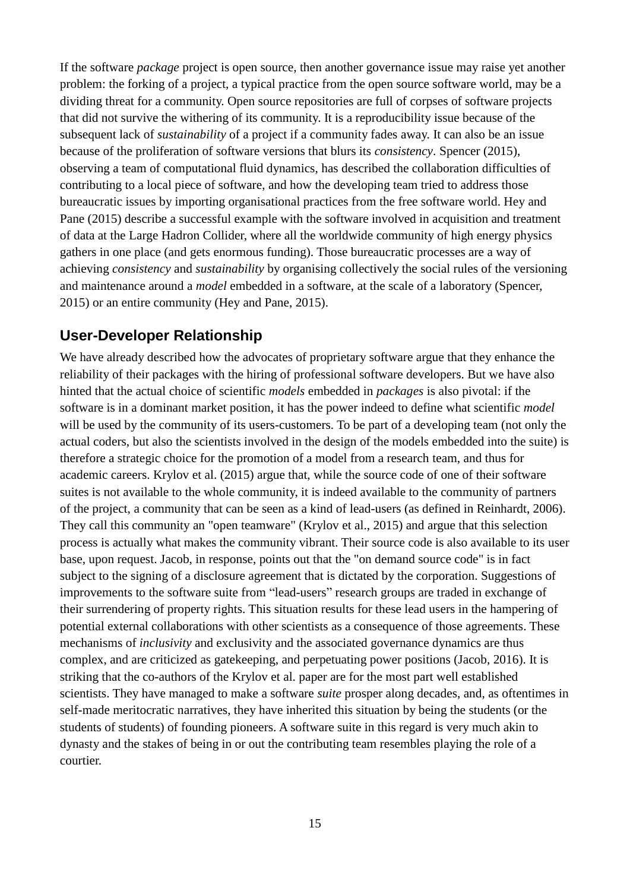If the software *package* project is open source, then another governance issue may raise yet another problem: the forking of a project, a typical practice from the open source software world, may be a dividing threat for a community. Open source repositories are full of corpses of software projects that did not survive the withering of its community. It is a reproducibility issue because of the subsequent lack of *sustainability* of a project if a community fades away. It can also be an issue because of the proliferation of software versions that blurs its *consistency*. Spencer (2015), observing a team of computational fluid dynamics, has described the collaboration difficulties of contributing to a local piece of software, and how the developing team tried to address those bureaucratic issues by importing organisational practices from the free software world. Hey and Pane (2015) describe a successful example with the software involved in acquisition and treatment of data at the Large Hadron Collider, where all the worldwide community of high energy physics gathers in one place (and gets enormous funding). Those bureaucratic processes are a way of achieving *consistency* and *sustainability* by organising collectively the social rules of the versioning and maintenance around a *model* embedded in a software, at the scale of a laboratory (Spencer, 2015) or an entire community (Hey and Pane, 2015).

#### **User-Developer Relationship**

We have already described how the advocates of proprietary software argue that they enhance the reliability of their packages with the hiring of professional software developers. But we have also hinted that the actual choice of scientific *models* embedded in *packages* is also pivotal: if the software is in a dominant market position, it has the power indeed to define what scientific *model* will be used by the community of its users-customers. To be part of a developing team (not only the actual coders, but also the scientists involved in the design of the models embedded into the suite) is therefore a strategic choice for the promotion of a model from a research team, and thus for academic careers. Krylov et al. (2015) argue that, while the source code of one of their software suites is not available to the whole community, it is indeed available to the community of partners of the project, a community that can be seen as a kind of lead-users (as defined in Reinhardt, 2006). They call this community an "open teamware" (Krylov et al., 2015) and argue that this selection process is actually what makes the community vibrant. Their source code is also available to its user base, upon request. Jacob, in response, points out that the "on demand source code" is in fact subject to the signing of a disclosure agreement that is dictated by the corporation. Suggestions of improvements to the software suite from "lead-users" research groups are traded in exchange of their surrendering of property rights. This situation results for these lead users in the hampering of potential external collaborations with other scientists as a consequence of those agreements. These mechanisms of *inclusivity* and exclusivity and the associated governance dynamics are thus complex, and are criticized as gatekeeping, and perpetuating power positions (Jacob, 2016). It is striking that the co-authors of the Krylov et al. paper are for the most part well established scientists. They have managed to make a software *suite* prosper along decades, and, as oftentimes in self-made meritocratic narratives, they have inherited this situation by being the students (or the students of students) of founding pioneers. A software suite in this regard is very much akin to dynasty and the stakes of being in or out the contributing team resembles playing the role of a courtier.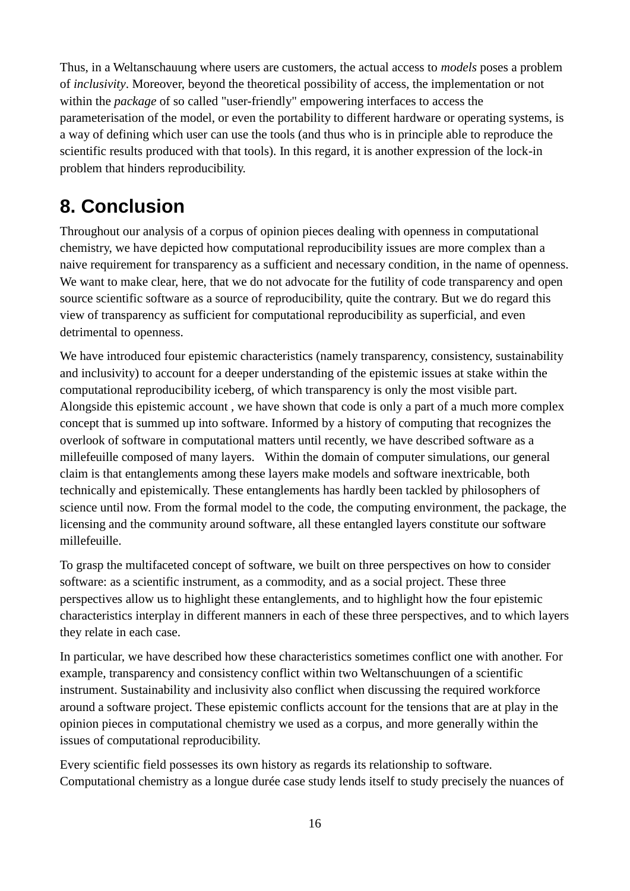Thus, in a Weltanschauung where users are customers, the actual access to *models* poses a problem of *inclusivity*. Moreover, beyond the theoretical possibility of access, the implementation or not within the *package* of so called "user-friendly" empowering interfaces to access the parameterisation of the model, or even the portability to different hardware or operating systems, is a way of defining which user can use the tools (and thus who is in principle able to reproduce the scientific results produced with that tools). In this regard, it is another expression of the lock-in problem that hinders reproducibility.

### **8. Conclusion**

Throughout our analysis of a corpus of opinion pieces dealing with openness in computational chemistry, we have depicted how computational reproducibility issues are more complex than a naive requirement for transparency as a sufficient and necessary condition, in the name of openness. We want to make clear, here, that we do not advocate for the futility of code transparency and open source scientific software as a source of reproducibility, quite the contrary. But we do regard this view of transparency as sufficient for computational reproducibility as superficial, and even detrimental to openness.

We have introduced four epistemic characteristics (namely transparency, consistency, sustainability and inclusivity) to account for a deeper understanding of the epistemic issues at stake within the computational reproducibility iceberg, of which transparency is only the most visible part. Alongside this epistemic account , we have shown that code is only a part of a much more complex concept that is summed up into software. Informed by a history of computing that recognizes the overlook of software in computational matters until recently, we have described software as a millefeuille composed of many layers. Within the domain of computer simulations, our general claim is that entanglements among these layers make models and software inextricable, both technically and epistemically. These entanglements has hardly been tackled by philosophers of science until now. From the formal model to the code, the computing environment, the package, the licensing and the community around software, all these entangled layers constitute our software millefeuille.

To grasp the multifaceted concept of software, we built on three perspectives on how to consider software: as a scientific instrument, as a commodity, and as a social project. These three perspectives allow us to highlight these entanglements, and to highlight how the four epistemic characteristics interplay in different manners in each of these three perspectives, and to which layers they relate in each case.

In particular, we have described how these characteristics sometimes conflict one with another. For example, transparency and consistency conflict within two Weltanschuungen of a scientific instrument. Sustainability and inclusivity also conflict when discussing the required workforce around a software project. These epistemic conflicts account for the tensions that are at play in the opinion pieces in computational chemistry we used as a corpus, and more generally within the issues of computational reproducibility.

Every scientific field possesses its own history as regards its relationship to software. Computational chemistry as a longue durée case study lends itself to study precisely the nuances of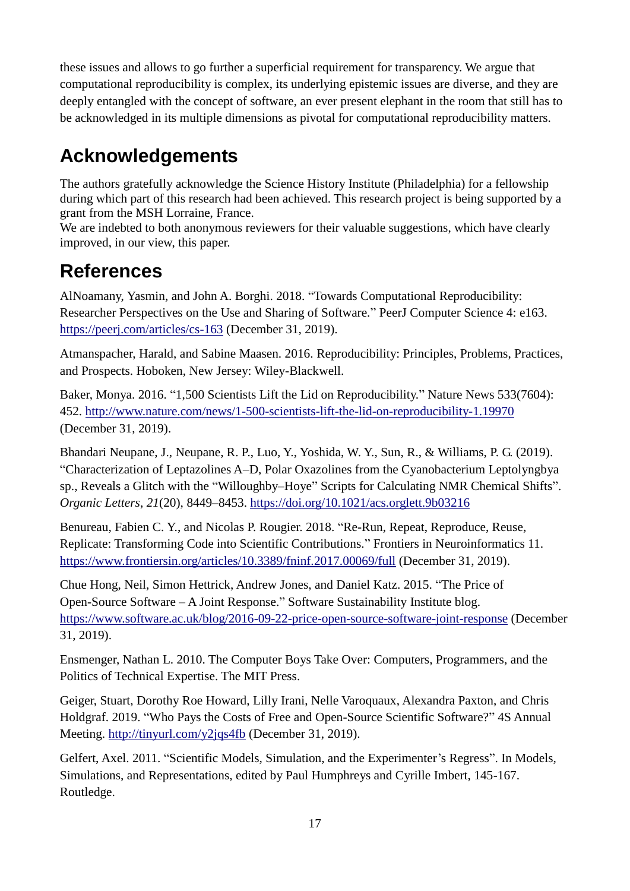these issues and allows to go further a superficial requirement for transparency. We argue that computational reproducibility is complex, its underlying epistemic issues are diverse, and they are deeply entangled with the concept of software, an ever present elephant in the room that still has to be acknowledged in its multiple dimensions as pivotal for computational reproducibility matters.

## **Acknowledgements**

The authors gratefully acknowledge the Science History Institute (Philadelphia) for a fellowship during which part of this research had been achieved. This research project is being supported by a grant from the MSH Lorraine, France.

We are indebted to both anonymous reviewers for their valuable suggestions, which have clearly improved, in our view, this paper.

### **References**

AlNoamany, Yasmin, and John A. Borghi. 2018. "Towards Computational Reproducibility: Researcher Perspectives on the Use and Sharing of Software." PeerJ Computer Science 4: e163. <https://peerj.com/articles/cs-163> (December 31, 2019).

Atmanspacher, Harald, and Sabine Maasen. 2016. Reproducibility: Principles, Problems, Practices, and Prospects. Hoboken, New Jersey: Wiley-Blackwell.

Baker, Monya. 2016. "1,500 Scientists Lift the Lid on Reproducibility." Nature News 533(7604): 452.<http://www.nature.com/news/1-500-scientists-lift-the-lid-on-reproducibility-1.19970> (December 31, 2019).

Bhandari Neupane, J., Neupane, R. P., Luo, Y., Yoshida, W. Y., Sun, R., & Williams, P. G. (2019). "Characterization of Leptazolines A–D, Polar Oxazolines from the Cyanobacterium Leptolyngbya sp., Reveals a Glitch with the "Willoughby–Hoye" Scripts for Calculating NMR Chemical Shifts". *Organic Letters*, *21*(20), 8449–8453.<https://doi.org/10.1021/acs.orglett.9b03216>

Benureau, Fabien C. Y., and Nicolas P. Rougier. 2018. "Re-Run, Repeat, Reproduce, Reuse, Replicate: Transforming Code into Scientific Contributions." Frontiers in Neuroinformatics 11. <https://www.frontiersin.org/articles/10.3389/fninf.2017.00069/full> (December 31, 2019).

Chue Hong, Neil, Simon Hettrick, Andrew Jones, and Daniel Katz. 2015. "The Price of Open-Source Software – A Joint Response." Software Sustainability Institute blog. <https://www.software.ac.uk/blog/2016-09-22-price-open-source-software-joint-response> (December 31, 2019).

Ensmenger, Nathan L. 2010. The Computer Boys Take Over: Computers, Programmers, and the Politics of Technical Expertise. The MIT Press.

Geiger, Stuart, Dorothy Roe Howard, Lilly Irani, Nelle Varoquaux, Alexandra Paxton, and Chris Holdgraf. 2019. "Who Pays the Costs of Free and Open-Source Scientific Software?" 4S Annual Meeting.<http://tinyurl.com/y2jqs4fb> (December 31, 2019).

Gelfert, Axel. 2011. "Scientific Models, Simulation, and the Experimenter's Regress". In Models, Simulations, and Representations, edited by Paul Humphreys and Cyrille Imbert, 145-167. Routledge.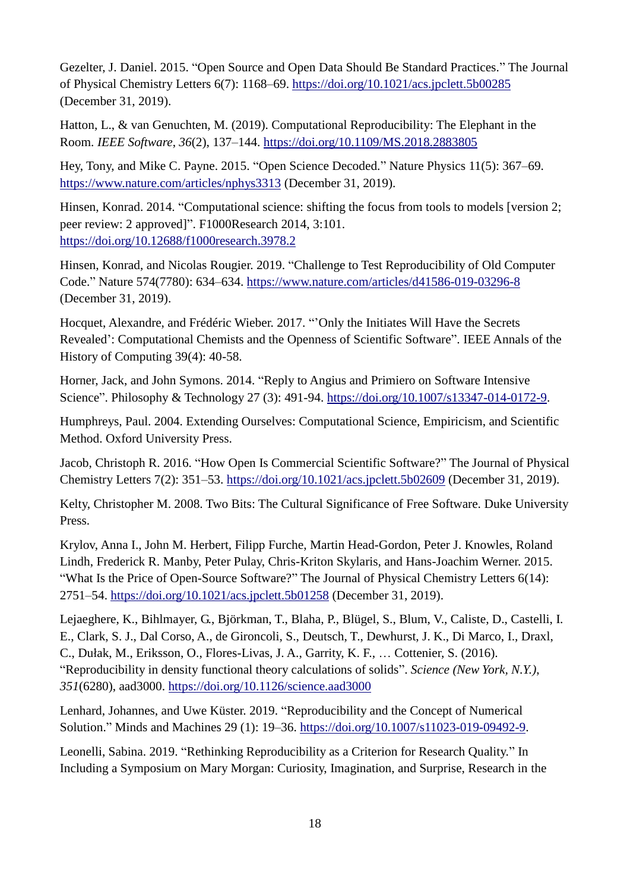Gezelter, J. Daniel. 2015. "Open Source and Open Data Should Be Standard Practices." The Journal of Physical Chemistry Letters 6(7): 1168–69.<https://doi.org/10.1021/acs.jpclett.5b00285> (December 31, 2019).

Hatton, L., & van Genuchten, M. (2019). Computational Reproducibility: The Elephant in the Room. *IEEE Software*, *36*(2), 137–144.<https://doi.org/10.1109/MS.2018.2883805>

Hey, Tony, and Mike C. Payne. 2015. "Open Science Decoded." Nature Physics 11(5): 367–69. <https://www.nature.com/articles/nphys3313> (December 31, 2019).

Hinsen, Konrad. 2014. "Computational science: shifting the focus from tools to models [version 2; peer review: 2 approved]". F1000Research 2014, 3:101. <https://doi.org/10.12688/f1000research.3978.2>

Hinsen, Konrad, and Nicolas Rougier. 2019. "Challenge to Test Reproducibility of Old Computer Code." Nature 574(7780): 634–634.<https://www.nature.com/articles/d41586-019-03296-8> (December 31, 2019).

Hocquet, Alexandre, and Frédéric Wieber. 2017. "'Only the Initiates Will Have the Secrets Revealed': Computational Chemists and the Openness of Scientific Software". IEEE Annals of the History of Computing 39(4): 40-58.

Horner, Jack, and John Symons. 2014. "Reply to Angius and Primiero on Software Intensive Science". Philosophy & Technology 27 (3): 491-94. [https://doi.org/10.1007/s13347-014-0172-9.](https://doi.org/10.1007/s13347-014-0172-9)

Humphreys, Paul. 2004. Extending Ourselves: Computational Science, Empiricism, and Scientific Method. Oxford University Press.

Jacob, Christoph R. 2016. "How Open Is Commercial Scientific Software?" The Journal of Physical Chemistry Letters 7(2): 351–53.<https://doi.org/10.1021/acs.jpclett.5b02609> (December 31, 2019).

Kelty, Christopher M. 2008. Two Bits: The Cultural Significance of Free Software. Duke University Press.

Krylov, Anna I., John M. Herbert, Filipp Furche, Martin Head-Gordon, Peter J. Knowles, Roland Lindh, Frederick R. Manby, Peter Pulay, Chris-Kriton Skylaris, and Hans-Joachim Werner. 2015. "What Is the Price of Open-Source Software?" The Journal of Physical Chemistry Letters 6(14): 2751–54.<https://doi.org/10.1021/acs.jpclett.5b01258> (December 31, 2019).

Lejaeghere, K., Bihlmayer, G., Björkman, T., Blaha, P., Blügel, S., Blum, V., Caliste, D., Castelli, I. E., Clark, S. J., Dal Corso, A., de Gironcoli, S., Deutsch, T., Dewhurst, J. K., Di Marco, I., Draxl, C., Dułak, M., Eriksson, O., Flores-Livas, J. A., Garrity, K. F., … Cottenier, S. (2016). "Reproducibility in density functional theory calculations of solids". *Science (New York, N.Y.)*, *351*(6280), aad3000.<https://doi.org/10.1126/science.aad3000>

Lenhard, Johannes, and Uwe Küster. 2019. "Reproducibility and the Concept of Numerical Solution." Minds and Machines 29 (1): 19–36. [https://doi.org/10.1007/s11023-019-09492-9.](https://doi.org/10.1007/s11023-019-09492-9)

Leonelli, Sabina. 2019. "Rethinking Reproducibility as a Criterion for Research Quality." In Including a Symposium on Mary Morgan: Curiosity, Imagination, and Surprise, Research in the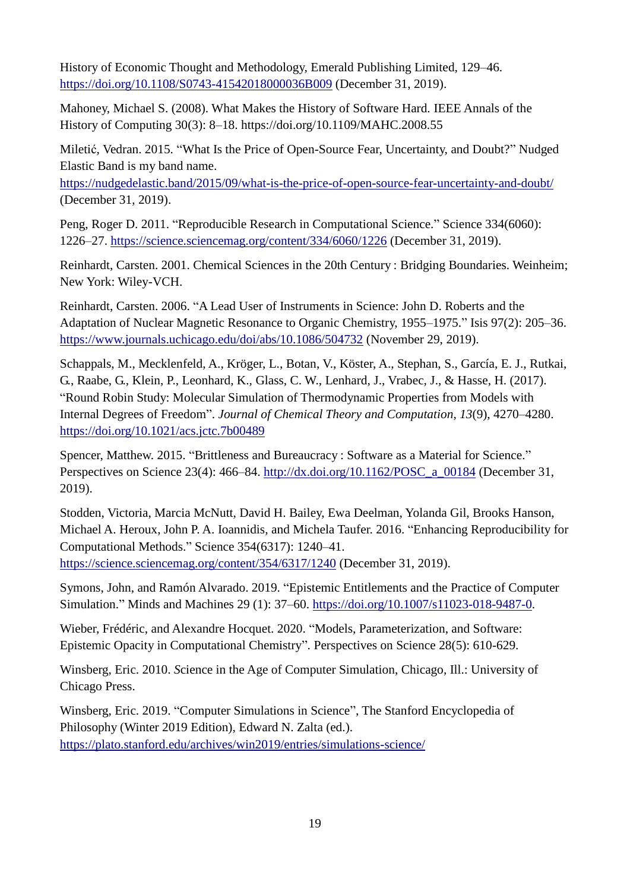History of Economic Thought and Methodology, Emerald Publishing Limited, 129–46. <https://doi.org/10.1108/S0743-41542018000036B009> (December 31, 2019).

Mahoney, Michael S. (2008). What Makes the History of Software Hard. IEEE Annals of the History of Computing 30(3): 8–18. https://doi.org/10.1109/MAHC.2008.55

Miletić, Vedran. 2015. "What Is the Price of Open-Source Fear, Uncertainty, and Doubt?" Nudged Elastic Band is my band name.

<https://nudgedelastic.band/2015/09/what-is-the-price-of-open-source-fear-uncertainty-and-doubt/> (December 31, 2019).

Peng, Roger D. 2011. "Reproducible Research in Computational Science." Science 334(6060): 1226–27.<https://science.sciencemag.org/content/334/6060/1226> (December 31, 2019).

Reinhardt, Carsten. 2001. Chemical Sciences in the 20th Century : Bridging Boundaries. Weinheim; New York: Wiley-VCH.

Reinhardt, Carsten. 2006. "A Lead User of Instruments in Science: John D. Roberts and the Adaptation of Nuclear Magnetic Resonance to Organic Chemistry, 1955–1975." Isis 97(2): 205–36. <https://www.journals.uchicago.edu/doi/abs/10.1086/504732> (November 29, 2019).

Schappals, M., Mecklenfeld, A., Kröger, L., Botan, V., Köster, A., Stephan, S., García, E. J., Rutkai, G., Raabe, G., Klein, P., Leonhard, K., Glass, C. W., Lenhard, J., Vrabec, J., & Hasse, H. (2017). "Round Robin Study: Molecular Simulation of Thermodynamic Properties from Models with Internal Degrees of Freedom". *Journal of Chemical Theory and Computation*, *13*(9), 4270–4280. <https://doi.org/10.1021/acs.jctc.7b00489>

Spencer, Matthew. 2015. "Brittleness and Bureaucracy : Software as a Material for Science." Perspectives on Science 23(4): 466–84. [http://dx.doi.org/10.1162/POSC\\_a\\_00184](http://dx.doi.org/10.1162/POSC_a_00184) (December 31, 2019).

Stodden, Victoria, Marcia McNutt, David H. Bailey, Ewa Deelman, Yolanda Gil, Brooks Hanson, Michael A. Heroux, John P. A. Ioannidis, and Michela Taufer. 2016. "Enhancing Reproducibility for Computational Methods." Science 354(6317): 1240–41. <https://science.sciencemag.org/content/354/6317/1240> (December 31, 2019).

Symons, John, and Ramón Alvarado. 2019. "Epistemic Entitlements and the Practice of Computer Simulation." Minds and Machines 29 (1): 37–60. [https://doi.org/10.1007/s11023-018-9487-0.](https://doi.org/10.1007/s11023-018-9487-0)

Wieber, Frédéric, and Alexandre Hocquet. 2020. "Models, Parameterization, and Software: Epistemic Opacity in Computational Chemistry". Perspectives on Science 28(5): 610-629.

Winsberg, Eric. 2010. *S*cience in the Age of Computer Simulation, Chicago, Ill.: University of Chicago Press.

Winsberg, Eric. 2019. "Computer Simulations in Science", The Stanford Encyclopedia of Philosophy (Winter 2019 Edition), Edward N. Zalta (ed.). <https://plato.stanford.edu/archives/win2019/entries/simulations-science/>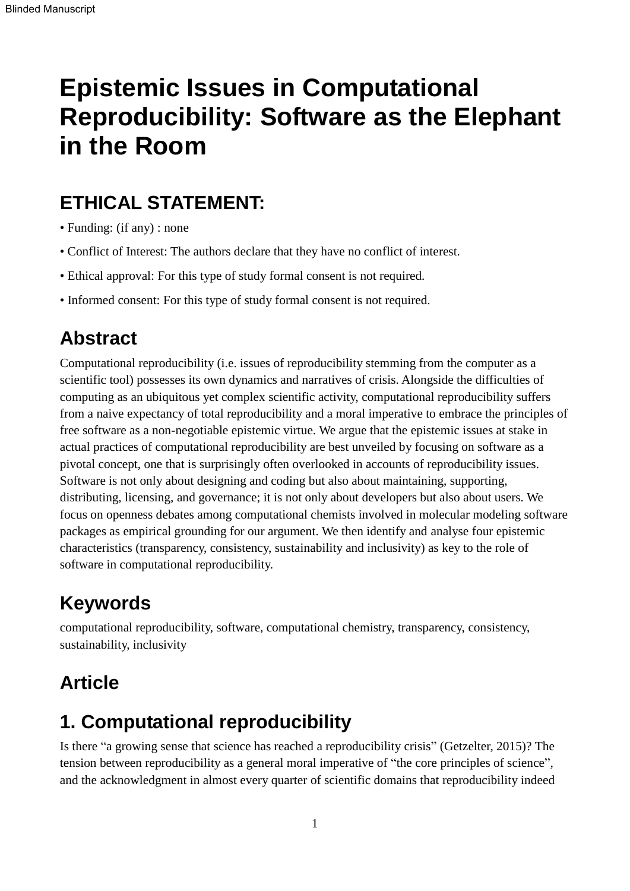# **Epistemic Issues in Computational Reproducibility: Software as the Elephant in the Room**

### **ETHICAL STATEMENT:**

- Funding: (if any) : none
- Conflict of Interest: The authors declare that they have no conflict of interest.
- Ethical approval: For this type of study formal consent is not required.
- Informed consent: For this type of study formal consent is not required.

### **Abstract**

Computational reproducibility (i.e. issues of reproducibility stemming from the computer as a scientific tool) possesses its own dynamics and narratives of crisis. Alongside the difficulties of computing as an ubiquitous yet complex scientific activity, computational reproducibility suffers from a naive expectancy of total reproducibility and a moral imperative to embrace the principles of free software as a non-negotiable epistemic virtue. We argue that the epistemic issues at stake in actual practices of computational reproducibility are best unveiled by focusing on software as a pivotal concept, one that is surprisingly often overlooked in accounts of reproducibility issues. Software is not only about designing and coding but also about maintaining, supporting, distributing, licensing, and governance; it is not only about developers but also about users. We focus on openness debates among computational chemists involved in molecular modeling software packages as empirical grounding for our argument. We then identify and analyse four epistemic characteristics (transparency, consistency, sustainability and inclusivity) as key to the role of software in computational reproducibility.

### **Keywords**

computational reproducibility, software, computational chemistry, transparency, consistency, sustainability, inclusivity

### **Article**

### **1. Computational reproducibility**

Is there "a growing sense that science has reached a reproducibility crisis" (Getzelter, 2015)? The tension between reproducibility as a general moral imperative of "the core principles of science", and the acknowledgment in almost every quarter of scientific domains that reproducibility indeed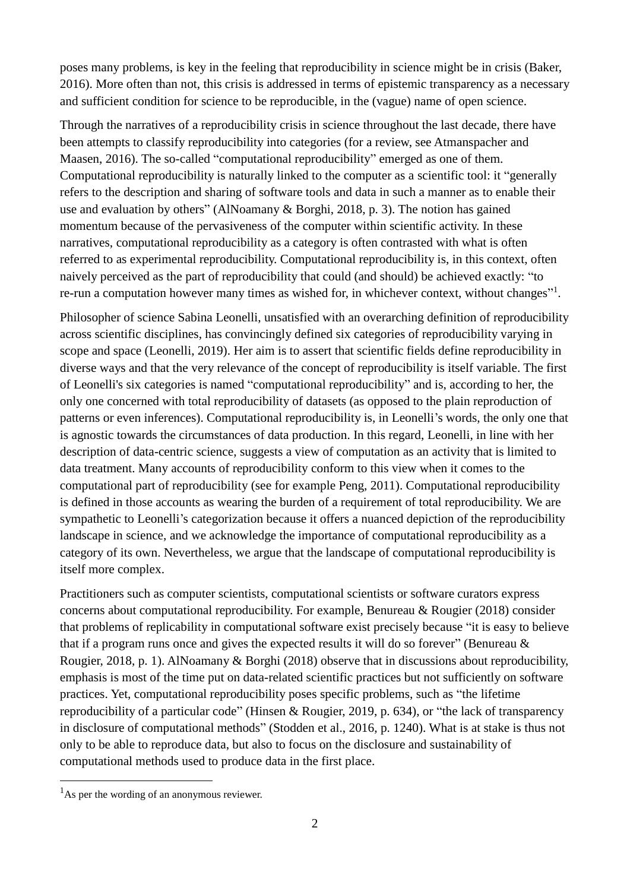poses many problems, is key in the feeling that reproducibility in science might be in crisis (Baker, 2016). More often than not, this crisis is addressed in terms of epistemic transparency as a necessary and sufficient condition for science to be reproducible, in the (vague) name of open science.

Through the narratives of a reproducibility crisis in science throughout the last decade, there have been attempts to classify reproducibility into categories (for a review, see Atmanspacher and Maasen, 2016). The so-called "computational reproducibility" emerged as one of them. Computational reproducibility is naturally linked to the computer as a scientific tool: it "generally refers to the description and sharing of software tools and data in such a manner as to enable their use and evaluation by others" (AlNoamany & Borghi, 2018, p. 3). The notion has gained momentum because of the pervasiveness of the computer within scientific activity. In these narratives, computational reproducibility as a category is often contrasted with what is often referred to as experimental reproducibility. Computational reproducibility is, in this context, often naively perceived as the part of reproducibility that could (and should) be achieved exactly: "to re-run a computation however many times as wished for, in whichever context, without changes"<sup>1</sup>.

Philosopher of science Sabina Leonelli, unsatisfied with an overarching definition of reproducibility across scientific disciplines, has convincingly defined six categories of reproducibility varying in scope and space (Leonelli, 2019). Her aim is to assert that scientific fields define reproducibility in diverse ways and that the very relevance of the concept of reproducibility is itself variable. The first of Leonelli's six categories is named "computational reproducibility" and is, according to her, the only one concerned with total reproducibility of datasets (as opposed to the plain reproduction of patterns or even inferences). Computational reproducibility is, in Leonelli's words, the only one that is agnostic towards the circumstances of data production. In this regard, Leonelli, in line with her description of data-centric science, suggests a view of computation as an activity that is limited to data treatment. Many accounts of reproducibility conform to this view when it comes to the computational part of reproducibility (see for example Peng, 2011). Computational reproducibility is defined in those accounts as wearing the burden of a requirement of total reproducibility. We are sympathetic to Leonelli's categorization because it offers a nuanced depiction of the reproducibility landscape in science, and we acknowledge the importance of computational reproducibility as a category of its own. Nevertheless, we argue that the landscape of computational reproducibility is itself more complex.

Practitioners such as computer scientists, computational scientists or software curators express concerns about computational reproducibility. For example, Benureau & Rougier (2018) consider that problems of replicability in computational software exist precisely because "it is easy to believe that if a program runs once and gives the expected results it will do so forever" (Benureau & Rougier, 2018, p. 1). AlNoamany & Borghi (2018) observe that in discussions about reproducibility, emphasis is most of the time put on data-related scientific practices but not sufficiently on software practices. Yet, computational reproducibility poses specific problems, such as "the lifetime reproducibility of a particular code" (Hinsen & Rougier, 2019, p. 634), or "the lack of transparency in disclosure of computational methods" (Stodden et al., 2016, p. 1240). What is at stake is thus not only to be able to reproduce data, but also to focus on the disclosure and sustainability of computational methods used to produce data in the first place.

1

 $<sup>1</sup>$ As per the wording of an anonymous reviewer.</sup>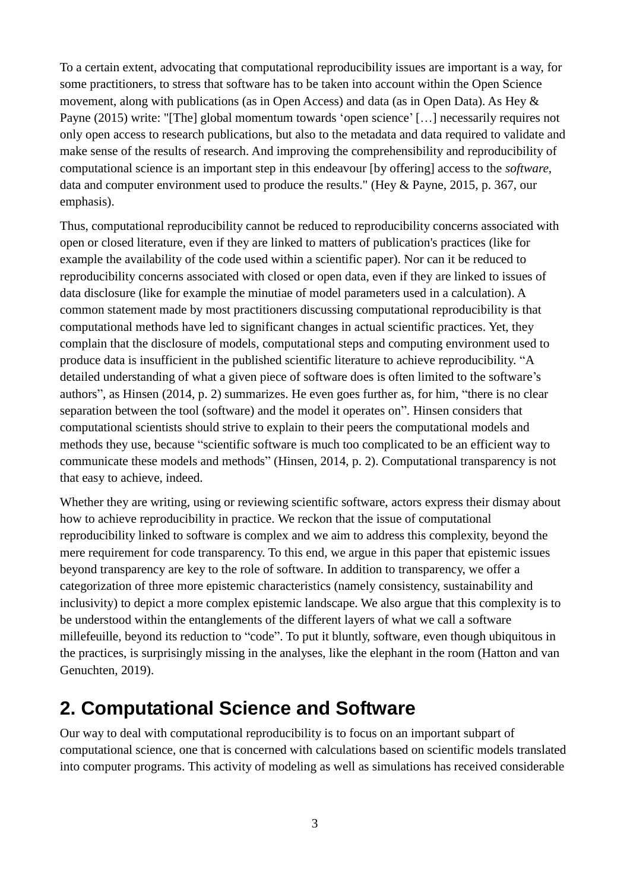To a certain extent, advocating that computational reproducibility issues are important is a way, for some practitioners, to stress that software has to be taken into account within the Open Science movement, along with publications (as in Open Access) and data (as in Open Data). As Hey & Payne (2015) write: "[The] global momentum towards 'open science' […] necessarily requires not only open access to research publications, but also to the metadata and data required to validate and make sense of the results of research. And improving the comprehensibility and reproducibility of computational science is an important step in this endeavour [by offering] access to the *software*, data and computer environment used to produce the results." (Hey & Payne, 2015, p. 367, our emphasis).

Thus, computational reproducibility cannot be reduced to reproducibility concerns associated with open or closed literature, even if they are linked to matters of publication's practices (like for example the availability of the code used within a scientific paper). Nor can it be reduced to reproducibility concerns associated with closed or open data, even if they are linked to issues of data disclosure (like for example the minutiae of model parameters used in a calculation). A common statement made by most practitioners discussing computational reproducibility is that computational methods have led to significant changes in actual scientific practices. Yet, they complain that the disclosure of models, computational steps and computing environment used to produce data is insufficient in the published scientific literature to achieve reproducibility. "A detailed understanding of what a given piece of software does is often limited to the software's authors", as Hinsen (2014, p. 2) summarizes. He even goes further as, for him, "there is no clear separation between the tool (software) and the model it operates on". Hinsen considers that computational scientists should strive to explain to their peers the computational models and methods they use, because "scientific software is much too complicated to be an efficient way to communicate these models and methods" (Hinsen, 2014, p. 2). Computational transparency is not that easy to achieve, indeed.

Whether they are writing, using or reviewing scientific software, actors express their dismay about how to achieve reproducibility in practice. We reckon that the issue of computational reproducibility linked to software is complex and we aim to address this complexity, beyond the mere requirement for code transparency. To this end, we argue in this paper that epistemic issues beyond transparency are key to the role of software. In addition to transparency, we offer a categorization of three more epistemic characteristics (namely consistency, sustainability and inclusivity) to depict a more complex epistemic landscape. We also argue that this complexity is to be understood within the entanglements of the different layers of what we call a software millefeuille, beyond its reduction to "code". To put it bluntly, software, even though ubiquitous in the practices, is surprisingly missing in the analyses, like the elephant in the room (Hatton and van Genuchten, 2019).

#### **2. Computational Science and Software**

Our way to deal with computational reproducibility is to focus on an important subpart of computational science, one that is concerned with calculations based on scientific models translated into computer programs. This activity of modeling as well as simulations has received considerable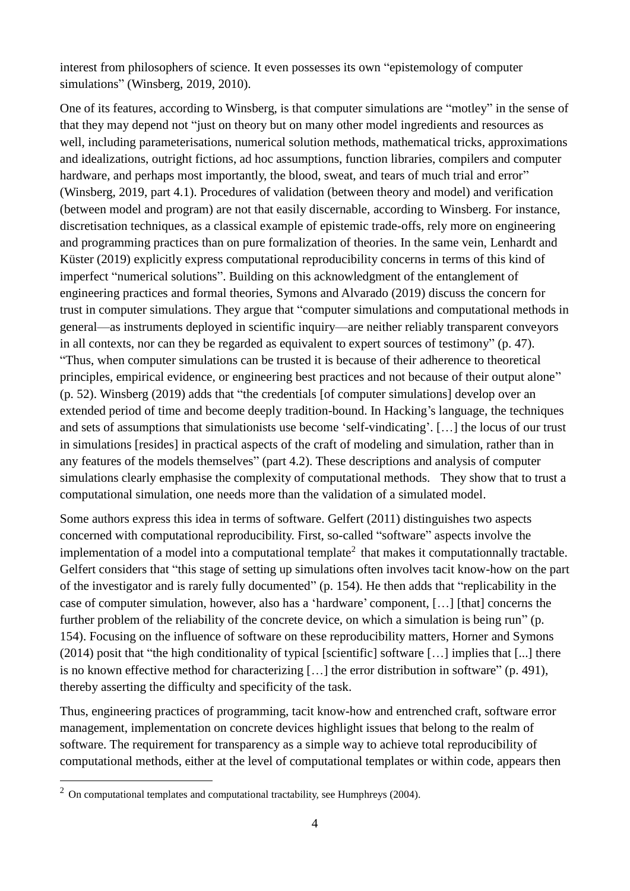interest from philosophers of science. It even possesses its own "epistemology of computer simulations" (Winsberg, 2019, 2010).

One of its features, according to Winsberg, is that computer simulations are "motley" in the sense of that they may depend not "just on theory but on many other model ingredients and resources as well, including parameterisations, numerical solution methods, mathematical tricks, approximations and idealizations, outright fictions, ad hoc assumptions, function libraries, compilers and computer hardware, and perhaps most importantly, the blood, sweat, and tears of much trial and error" (Winsberg, 2019, part 4.1). Procedures of validation (between theory and model) and verification (between model and program) are not that easily discernable, according to Winsberg. For instance, discretisation techniques, as a classical example of epistemic trade-offs, rely more on engineering and programming practices than on pure formalization of theories. In the same vein, Lenhardt and Küster (2019) explicitly express computational reproducibility concerns in terms of this kind of imperfect "numerical solutions". Building on this acknowledgment of the entanglement of engineering practices and formal theories, Symons and Alvarado (2019) discuss the concern for trust in computer simulations. They argue that "computer simulations and computational methods in general—as instruments deployed in scientific inquiry—are neither reliably transparent conveyors in all contexts, nor can they be regarded as equivalent to expert sources of testimony" (p. 47). "Thus, when computer simulations can be trusted it is because of their adherence to theoretical principles, empirical evidence, or engineering best practices and not because of their output alone" (p. 52). Winsberg (2019) adds that "the credentials [of computer simulations] develop over an extended period of time and become deeply tradition-bound. In Hacking's language, the techniques and sets of assumptions that simulationists use become 'self-vindicating'. […] the locus of our trust in simulations [resides] in practical aspects of the craft of modeling and simulation, rather than in any features of the models themselves" (part 4.2). These descriptions and analysis of computer simulations clearly emphasise the complexity of computational methods. They show that to trust a computational simulation, one needs more than the validation of a simulated model.

Some authors express this idea in terms of software. Gelfert (2011) distinguishes two aspects concerned with computational reproducibility. First, so-called "software" aspects involve the implementation of a model into a computational template<sup>2</sup> that makes it computationnally tractable. Gelfert considers that "this stage of setting up simulations often involves tacit know-how on the part of the investigator and is rarely fully documented" (p. 154). He then adds that "replicability in the case of computer simulation, however, also has a 'hardware' component, […] [that] concerns the further problem of the reliability of the concrete device, on which a simulation is being run" (p. 154). Focusing on the influence of software on these reproducibility matters, Horner and Symons (2014) posit that "the high conditionality of typical [scientific] software […] implies that [...] there is no known effective method for characterizing […] the error distribution in software" (p. 491), thereby asserting the difficulty and specificity of the task.

Thus, engineering practices of programming, tacit know-how and entrenched craft, software error management, implementation on concrete devices highlight issues that belong to the realm of software. The requirement for transparency as a simple way to achieve total reproducibility of computational methods, either at the level of computational templates or within code, appears then

1

 $2$  On computational templates and computational tractability, see Humphreys (2004).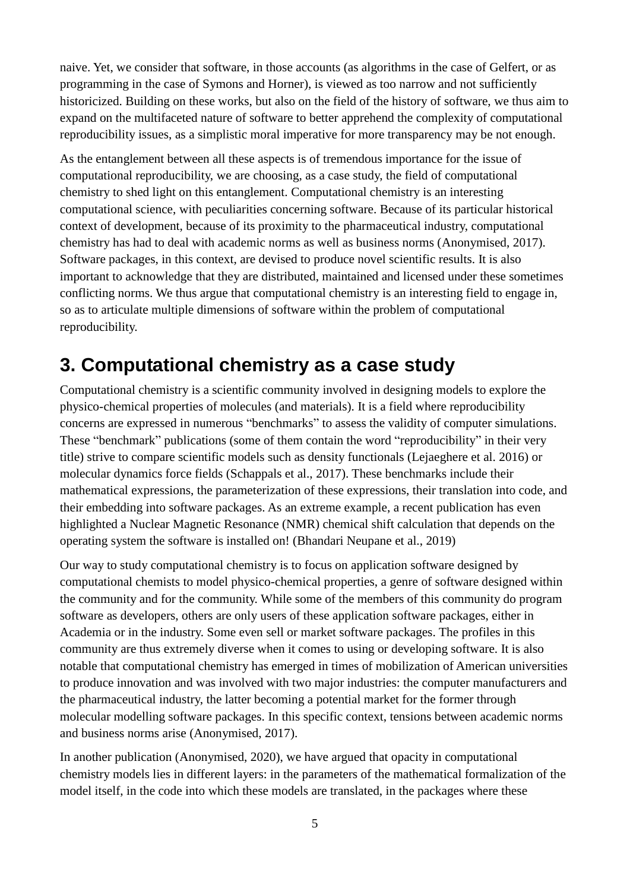naive. Yet, we consider that software, in those accounts (as algorithms in the case of Gelfert, or as programming in the case of Symons and Horner), is viewed as too narrow and not sufficiently historicized. Building on these works, but also on the field of the history of software, we thus aim to expand on the multifaceted nature of software to better apprehend the complexity of computational reproducibility issues, as a simplistic moral imperative for more transparency may be not enough.

As the entanglement between all these aspects is of tremendous importance for the issue of computational reproducibility, we are choosing, as a case study, the field of computational chemistry to shed light on this entanglement. Computational chemistry is an interesting computational science, with peculiarities concerning software. Because of its particular historical context of development, because of its proximity to the pharmaceutical industry, computational chemistry has had to deal with academic norms as well as business norms (Anonymised, 2017). Software packages, in this context, are devised to produce novel scientific results. It is also important to acknowledge that they are distributed, maintained and licensed under these sometimes conflicting norms. We thus argue that computational chemistry is an interesting field to engage in, so as to articulate multiple dimensions of software within the problem of computational reproducibility.

#### **3. Computational chemistry as a case study**

Computational chemistry is a scientific community involved in designing models to explore the physico-chemical properties of molecules (and materials). It is a field where reproducibility concerns are expressed in numerous "benchmarks" to assess the validity of computer simulations. These "benchmark" publications (some of them contain the word "reproducibility" in their very title) strive to compare scientific models such as density functionals (Lejaeghere et al. 2016) or molecular dynamics force fields (Schappals et al., 2017). These benchmarks include their mathematical expressions, the parameterization of these expressions, their translation into code, and their embedding into software packages. As an extreme example, a recent publication has even highlighted a Nuclear Magnetic Resonance (NMR) chemical shift calculation that depends on the operating system the software is installed on! (Bhandari Neupane et al., 2019)

Our way to study computational chemistry is to focus on application software designed by computational chemists to model physico-chemical properties, a genre of software designed within the community and for the community. While some of the members of this community do program software as developers, others are only users of these application software packages, either in Academia or in the industry. Some even sell or market software packages. The profiles in this community are thus extremely diverse when it comes to using or developing software. It is also notable that computational chemistry has emerged in times of mobilization of American universities to produce innovation and was involved with two major industries: the computer manufacturers and the pharmaceutical industry, the latter becoming a potential market for the former through molecular modelling software packages. In this specific context, tensions between academic norms and business norms arise (Anonymised, 2017).

In another publication (Anonymised, 2020), we have argued that opacity in computational chemistry models lies in different layers: in the parameters of the mathematical formalization of the model itself, in the code into which these models are translated, in the packages where these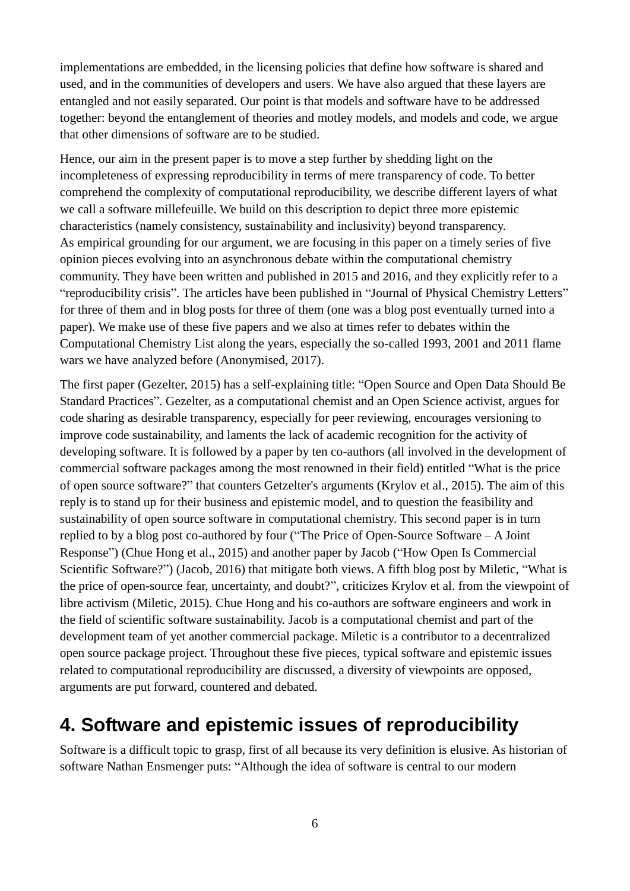implementations are embedded, in the licensing policies that define how software is shared and used, and in the communities of developers and users. We have also argued that these layers are entangled and not easily separated. Our point is that models and software have to be addressed together: beyond the entanglement of theories and motley models, and models and code, we argue that other dimensions of software are to be studied.

Hence, our aim in the present paper is to move a step further by shedding light on the incompleteness of expressing reproducibility in terms of mere transparency of code. To better comprehend the complexity of computational reproducibility, we describe different layers of what we call a software millefeuille. We build on this description to depict three more epistemic characteristics (namely consistency, sustainability and inclusivity) beyond transparency. As empirical grounding for our argument, we are focusing in this paper on a timely series of five opinion pieces evolving into an asynchronous debate within the computational chemistry community. They have been written and published in 2015 and 2016, and they explicitly refer to a "reproducibility crisis". The articles have been published in "Journal of Physical Chemistry Letters" for three of them and in blog posts for three of them (one was a blog post eventually turned into a paper). We make use of these five papers and we also at times refer to debates within the Computational Chemistry List along the years, especially the so-called 1993, 2001 and 2011 flame wars we have analyzed before (Anonymised, 2017).

The first paper (Gezelter, 2015) has a self-explaining title: "Open Source and Open Data Should Be Standard Practices". Gezelter, as a computational chemist and an Open Science activist, argues for code sharing as desirable transparency, especially for peer reviewing, encourages versioning to improve code sustainability, and laments the lack of academic recognition for the activity of developing software. It is followed by a paper by ten co-authors (all involved in the development of commercial software packages among the most renowned in their field) entitled "What is the price of open source software?" that counters Getzelter's arguments (Krylov et al., 2015). The aim of this reply is to stand up for their business and epistemic model, and to question the feasibility and sustainability of open source software in computational chemistry. This second paper is in turn replied to by a blog post co-authored by four ("The Price of Open-Source Software – A Joint Response") (Chue Hong et al., 2015) and another paper by Jacob ("How Open Is Commercial Scientific Software?") (Jacob, 2016) that mitigate both views. A fifth blog post by Miletic, "What is the price of open-source fear, uncertainty, and doubt?", criticizes Krylov et al. from the viewpoint of libre activism (Miletic, 2015). Chue Hong and his co-authors are software engineers and work in the field of scientific software sustainability. Jacob is a computational chemist and part of the development team of yet another commercial package. Miletic is a contributor to a decentralized open source package project. Throughout these five pieces, typical software and epistemic issues related to computational reproducibility are discussed, a diversity of viewpoints are opposed, arguments are put forward, countered and debated.

### **4. Software and epistemic issues of reproducibility**

Software is a difficult topic to grasp, first of all because its very definition is elusive. As historian of software Nathan Ensmenger puts: "Although the idea of software is central to our modern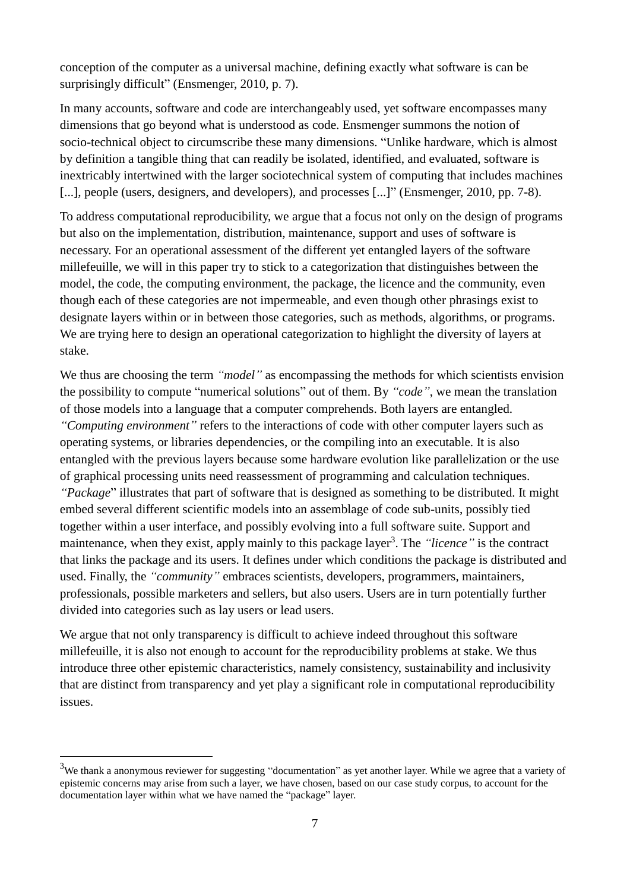conception of the computer as a universal machine, defining exactly what software is can be surprisingly difficult" (Ensmenger, 2010, p. 7).

In many accounts, software and code are interchangeably used, yet software encompasses many dimensions that go beyond what is understood as code. Ensmenger summons the notion of socio-technical object to circumscribe these many dimensions. "Unlike hardware, which is almost by definition a tangible thing that can readily be isolated, identified, and evaluated, software is inextricably intertwined with the larger sociotechnical system of computing that includes machines [...], people (users, designers, and developers), and processes [...]" (Ensmenger, 2010, pp. 7-8).

To address computational reproducibility, we argue that a focus not only on the design of programs but also on the implementation, distribution, maintenance, support and uses of software is necessary. For an operational assessment of the different yet entangled layers of the software millefeuille, we will in this paper try to stick to a categorization that distinguishes between the model, the code, the computing environment, the package, the licence and the community, even though each of these categories are not impermeable, and even though other phrasings exist to designate layers within or in between those categories, such as methods, algorithms, or programs. We are trying here to design an operational categorization to highlight the diversity of layers at stake.

We thus are choosing the term *"model"* as encompassing the methods for which scientists envision the possibility to compute "numerical solutions" out of them. By *"code"*, we mean the translation of those models into a language that a computer comprehends. Both layers are entangled. *"Computing environment"* refers to the interactions of code with other computer layers such as operating systems, or libraries dependencies, or the compiling into an executable. It is also entangled with the previous layers because some hardware evolution like parallelization or the use of graphical processing units need reassessment of programming and calculation techniques. *"Package*" illustrates that part of software that is designed as something to be distributed. It might embed several different scientific models into an assemblage of code sub-units, possibly tied together within a user interface, and possibly evolving into a full software suite. Support and maintenance, when they exist, apply mainly to this package layer<sup>3</sup>. The *"licence"* is the contract that links the package and its users. It defines under which conditions the package is distributed and used. Finally, the *"community"* embraces scientists, developers, programmers, maintainers, professionals, possible marketers and sellers, but also users. Users are in turn potentially further divided into categories such as lay users or lead users.

We argue that not only transparency is difficult to achieve indeed throughout this software millefeuille, it is also not enough to account for the reproducibility problems at stake. We thus introduce three other epistemic characteristics, namely consistency, sustainability and inclusivity that are distinct from transparency and yet play a significant role in computational reproducibility issues.

1

 $3$ We thank a anonymous reviewer for suggesting "documentation" as yet another layer. While we agree that a variety of epistemic concerns may arise from such a layer, we have chosen, based on our case study corpus, to account for the documentation layer within what we have named the "package" layer.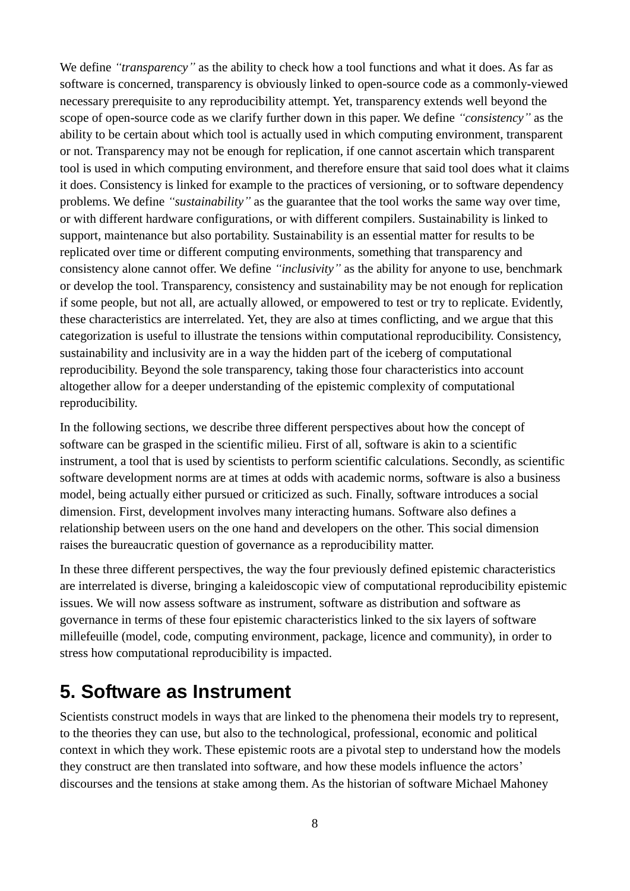We define *"transparency*" as the ability to check how a tool functions and what it does. As far as software is concerned, transparency is obviously linked to open-source code as a commonly-viewed necessary prerequisite to any reproducibility attempt. Yet, transparency extends well beyond the scope of open-source code as we clarify further down in this paper. We define *"consistency"* as the ability to be certain about which tool is actually used in which computing environment, transparent or not. Transparency may not be enough for replication, if one cannot ascertain which transparent tool is used in which computing environment, and therefore ensure that said tool does what it claims it does. Consistency is linked for example to the practices of versioning, or to software dependency problems. We define *"sustainability"* as the guarantee that the tool works the same way over time, or with different hardware configurations, or with different compilers. Sustainability is linked to support, maintenance but also portability. Sustainability is an essential matter for results to be replicated over time or different computing environments, something that transparency and consistency alone cannot offer. We define *"inclusivity"* as the ability for anyone to use, benchmark or develop the tool. Transparency, consistency and sustainability may be not enough for replication if some people, but not all, are actually allowed, or empowered to test or try to replicate. Evidently, these characteristics are interrelated. Yet, they are also at times conflicting, and we argue that this categorization is useful to illustrate the tensions within computational reproducibility. Consistency, sustainability and inclusivity are in a way the hidden part of the iceberg of computational reproducibility. Beyond the sole transparency, taking those four characteristics into account altogether allow for a deeper understanding of the epistemic complexity of computational reproducibility.

In the following sections, we describe three different perspectives about how the concept of software can be grasped in the scientific milieu. First of all, software is akin to a scientific instrument, a tool that is used by scientists to perform scientific calculations. Secondly, as scientific software development norms are at times at odds with academic norms, software is also a business model, being actually either pursued or criticized as such. Finally, software introduces a social dimension. First, development involves many interacting humans. Software also defines a relationship between users on the one hand and developers on the other. This social dimension raises the bureaucratic question of governance as a reproducibility matter.

In these three different perspectives, the way the four previously defined epistemic characteristics are interrelated is diverse, bringing a kaleidoscopic view of computational reproducibility epistemic issues. We will now assess software as instrument, software as distribution and software as governance in terms of these four epistemic characteristics linked to the six layers of software millefeuille (model, code, computing environment, package, licence and community), in order to stress how computational reproducibility is impacted.

#### **5. Software as Instrument**

Scientists construct models in ways that are linked to the phenomena their models try to represent, to the theories they can use, but also to the technological, professional, economic and political context in which they work. These epistemic roots are a pivotal step to understand how the models they construct are then translated into software, and how these models influence the actors' discourses and the tensions at stake among them. As the historian of software Michael Mahoney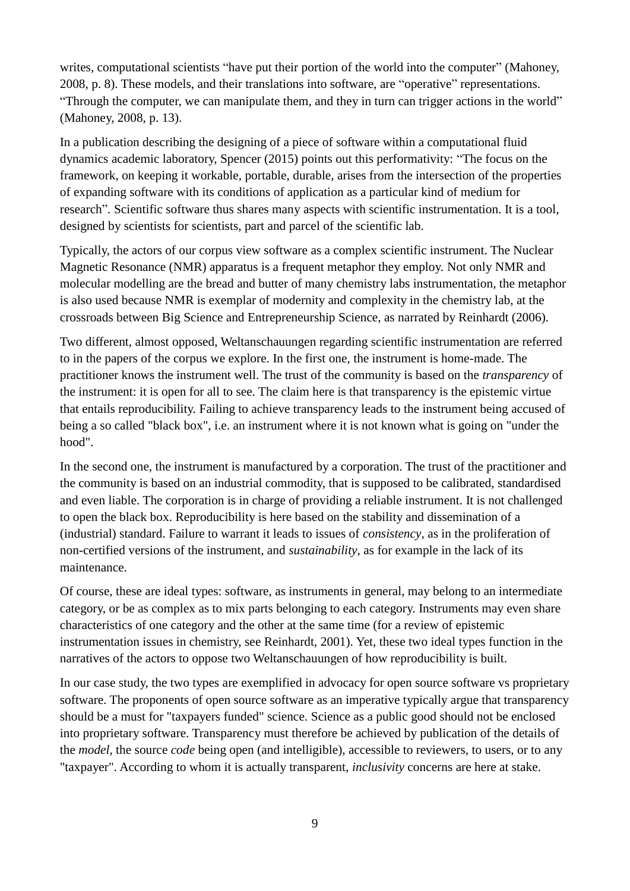writes, computational scientists "have put their portion of the world into the computer" (Mahoney, 2008, p. 8). These models, and their translations into software, are "operative" representations. "Through the computer, we can manipulate them, and they in turn can trigger actions in the world" (Mahoney, 2008, p. 13).

In a publication describing the designing of a piece of software within a computational fluid dynamics academic laboratory, Spencer (2015) points out this performativity: "The focus on the framework, on keeping it workable, portable, durable, arises from the intersection of the properties of expanding software with its conditions of application as a particular kind of medium for research"*.* Scientific software thus shares many aspects with scientific instrumentation. It is a tool, designed by scientists for scientists, part and parcel of the scientific lab.

Typically, the actors of our corpus view software as a complex scientific instrument. The Nuclear Magnetic Resonance (NMR) apparatus is a frequent metaphor they employ. Not only NMR and molecular modelling are the bread and butter of many chemistry labs instrumentation, the metaphor is also used because NMR is exemplar of modernity and complexity in the chemistry lab, at the crossroads between Big Science and Entrepreneurship Science, as narrated by Reinhardt (2006).

Two different, almost opposed, Weltanschauungen regarding scientific instrumentation are referred to in the papers of the corpus we explore. In the first one, the instrument is home-made. The practitioner knows the instrument well. The trust of the community is based on the *transparency* of the instrument: it is open for all to see. The claim here is that transparency is the epistemic virtue that entails reproducibility. Failing to achieve transparency leads to the instrument being accused of being a so called "black box", i.e. an instrument where it is not known what is going on "under the hood".

In the second one, the instrument is manufactured by a corporation. The trust of the practitioner and the community is based on an industrial commodity, that is supposed to be calibrated, standardised and even liable. The corporation is in charge of providing a reliable instrument. It is not challenged to open the black box. Reproducibility is here based on the stability and dissemination of a (industrial) standard. Failure to warrant it leads to issues of *consistency*, as in the proliferation of non-certified versions of the instrument, and *sustainability*, as for example in the lack of its maintenance.

Of course, these are ideal types: software, as instruments in general, may belong to an intermediate category, or be as complex as to mix parts belonging to each category. Instruments may even share characteristics of one category and the other at the same time (for a review of epistemic instrumentation issues in chemistry, see Reinhardt, 2001). Yet, these two ideal types function in the narratives of the actors to oppose two Weltanschauungen of how reproducibility is built.

In our case study, the two types are exemplified in advocacy for open source software vs proprietary software. The proponents of open source software as an imperative typically argue that transparency should be a must for "taxpayers funded" science. Science as a public good should not be enclosed into proprietary software. Transparency must therefore be achieved by publication of the details of the *model*, the source *code* being open (and intelligible), accessible to reviewers, to users, or to any "taxpayer". According to whom it is actually transparent, *inclusivity* concerns are here at stake.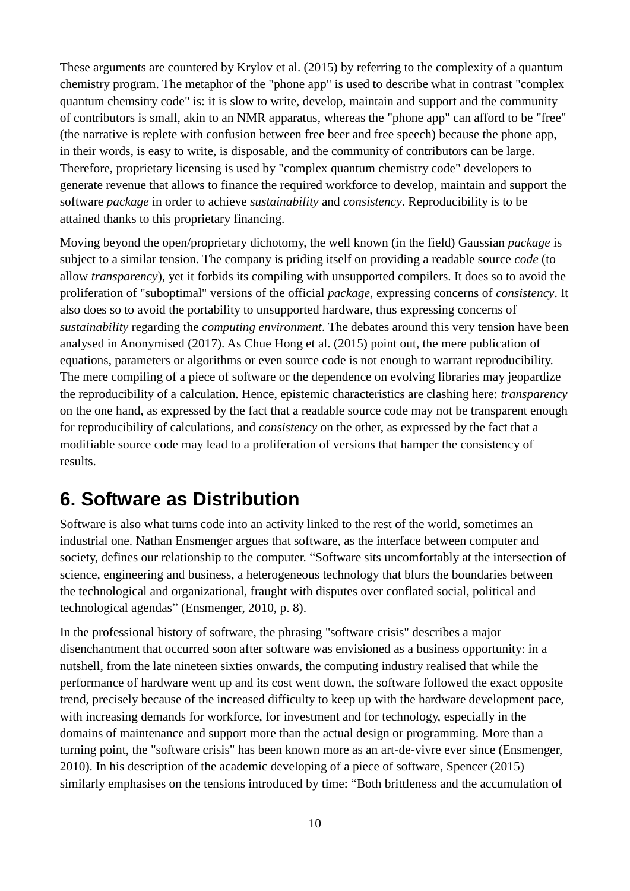These arguments are countered by Krylov et al. (2015) by referring to the complexity of a quantum chemistry program. The metaphor of the "phone app" is used to describe what in contrast "complex quantum chemsitry code" is: it is slow to write, develop, maintain and support and the community of contributors is small, akin to an NMR apparatus, whereas the "phone app" can afford to be "free" (the narrative is replete with confusion between free beer and free speech) because the phone app, in their words, is easy to write, is disposable, and the community of contributors can be large. Therefore, proprietary licensing is used by "complex quantum chemistry code" developers to generate revenue that allows to finance the required workforce to develop, maintain and support the software *package* in order to achieve *sustainability* and *consistency*. Reproducibility is to be attained thanks to this proprietary financing.

Moving beyond the open/proprietary dichotomy, the well known (in the field) Gaussian *package* is subject to a similar tension. The company is priding itself on providing a readable source *code* (to allow *transparency*), yet it forbids its compiling with unsupported compilers. It does so to avoid the proliferation of "suboptimal" versions of the official *package*, expressing concerns of *consistency*. It also does so to avoid the portability to unsupported hardware, thus expressing concerns of *sustainability* regarding the *computing environment*. The debates around this very tension have been analysed in Anonymised (2017). As Chue Hong et al. (2015) point out, the mere publication of equations, parameters or algorithms or even source code is not enough to warrant reproducibility. The mere compiling of a piece of software or the dependence on evolving libraries may jeopardize the reproducibility of a calculation. Hence, epistemic characteristics are clashing here: *transparency* on the one hand, as expressed by the fact that a readable source code may not be transparent enough for reproducibility of calculations, and *consistency* on the other, as expressed by the fact that a modifiable source code may lead to a proliferation of versions that hamper the consistency of results.

#### **6. Software as Distribution**

Software is also what turns code into an activity linked to the rest of the world, sometimes an industrial one. Nathan Ensmenger argues that software, as the interface between computer and society, defines our relationship to the computer. "Software sits uncomfortably at the intersection of science, engineering and business, a heterogeneous technology that blurs the boundaries between the technological and organizational, fraught with disputes over conflated social, political and technological agendas" (Ensmenger, 2010, p. 8).

In the professional history of software, the phrasing "software crisis" describes a major disenchantment that occurred soon after software was envisioned as a business opportunity: in a nutshell, from the late nineteen sixties onwards, the computing industry realised that while the performance of hardware went up and its cost went down, the software followed the exact opposite trend, precisely because of the increased difficulty to keep up with the hardware development pace, with increasing demands for workforce, for investment and for technology, especially in the domains of maintenance and support more than the actual design or programming. More than a turning point, the "software crisis" has been known more as an art-de-vivre ever since (Ensmenger, 2010). In his description of the academic developing of a piece of software, Spencer (2015) similarly emphasises on the tensions introduced by time: "Both brittleness and the accumulation of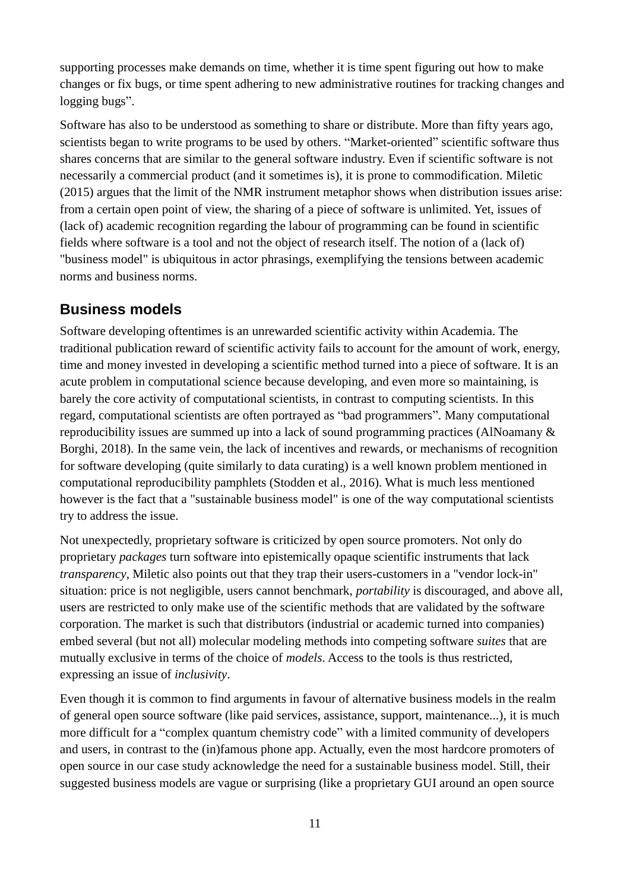supporting processes make demands on time, whether it is time spent figuring out how to make changes or fix bugs, or time spent adhering to new administrative routines for tracking changes and logging bugs".

Software has also to be understood as something to share or distribute. More than fifty years ago, scientists began to write programs to be used by others. "Market-oriented" scientific software thus shares concerns that are similar to the general software industry. Even if scientific software is not necessarily a commercial product (and it sometimes is), it is prone to commodification. Miletic (2015) argues that the limit of the NMR instrument metaphor shows when distribution issues arise: from a certain open point of view, the sharing of a piece of software is unlimited. Yet, issues of (lack of) academic recognition regarding the labour of programming can be found in scientific fields where software is a tool and not the object of research itself. The notion of a (lack of) "business model" is ubiquitous in actor phrasings, exemplifying the tensions between academic norms and business norms.

#### **Business models**

Software developing oftentimes is an unrewarded scientific activity within Academia. The traditional publication reward of scientific activity fails to account for the amount of work, energy, time and money invested in developing a scientific method turned into a piece of software. It is an acute problem in computational science because developing, and even more so maintaining, is barely the core activity of computational scientists, in contrast to computing scientists. In this regard, computational scientists are often portrayed as "bad programmers". Many computational reproducibility issues are summed up into a lack of sound programming practices (AlNoamany & Borghi, 2018). In the same vein, the lack of incentives and rewards, or mechanisms of recognition for software developing (quite similarly to data curating) is a well known problem mentioned in computational reproducibility pamphlets (Stodden et al., 2016). What is much less mentioned however is the fact that a "sustainable business model" is one of the way computational scientists try to address the issue.

Not unexpectedly, proprietary software is criticized by open source promoters. Not only do proprietary *packages* turn software into epistemically opaque scientific instruments that lack *transparency*, Miletic also points out that they trap their users-customers in a "vendor lock-in" situation: price is not negligible, users cannot benchmark, *portability* is discouraged, and above all, users are restricted to only make use of the scientific methods that are validated by the software corporation. The market is such that distributors (industrial or academic turned into companies) embed several (but not all) molecular modeling methods into competing software *suites* that are mutually exclusive in terms of the choice of *models*. Access to the tools is thus restricted, expressing an issue of *inclusivity*.

Even though it is common to find arguments in favour of alternative business models in the realm of general open source software (like paid services, assistance, support, maintenance...), it is much more difficult for a "complex quantum chemistry code" with a limited community of developers and users, in contrast to the (in)famous phone app. Actually, even the most hardcore promoters of open source in our case study acknowledge the need for a sustainable business model. Still, their suggested business models are vague or surprising (like a proprietary GUI around an open source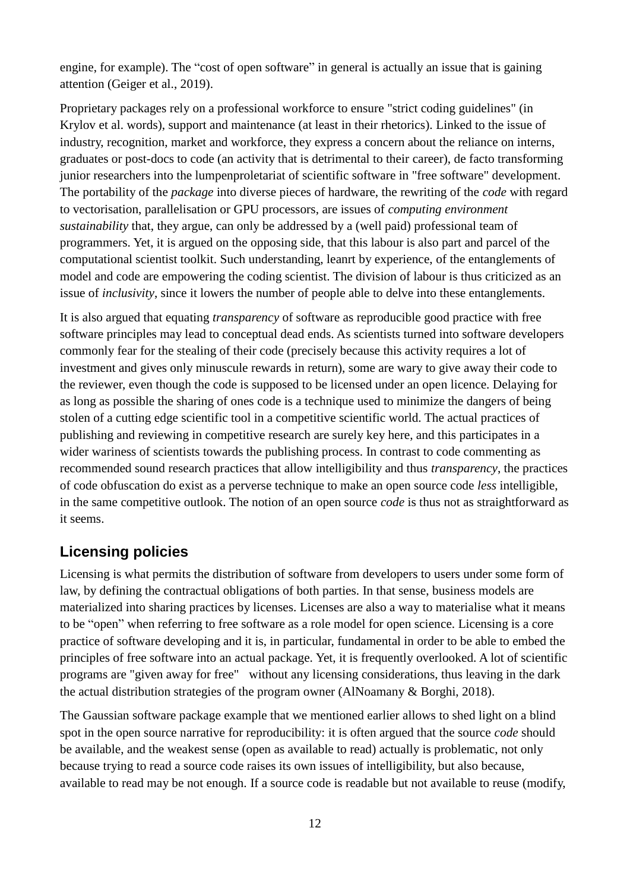engine, for example). The "cost of open software" in general is actually an issue that is gaining attention (Geiger et al., 2019).

Proprietary packages rely on a professional workforce to ensure "strict coding guidelines" (in Krylov et al. words), support and maintenance (at least in their rhetorics). Linked to the issue of industry, recognition, market and workforce, they express a concern about the reliance on interns, graduates or post-docs to code (an activity that is detrimental to their career), de facto transforming junior researchers into the lumpenproletariat of scientific software in "free software" development. The portability of the *package* into diverse pieces of hardware, the rewriting of the *code* with regard to vectorisation, parallelisation or GPU processors, are issues of *computing environment sustainability* that, they argue, can only be addressed by a (well paid) professional team of programmers. Yet, it is argued on the opposing side, that this labour is also part and parcel of the computational scientist toolkit. Such understanding, leanrt by experience, of the entanglements of model and code are empowering the coding scientist. The division of labour is thus criticized as an issue of *inclusivity*, since it lowers the number of people able to delve into these entanglements.

It is also argued that equating *transparency* of software as reproducible good practice with free software principles may lead to conceptual dead ends. As scientists turned into software developers commonly fear for the stealing of their code (precisely because this activity requires a lot of investment and gives only minuscule rewards in return), some are wary to give away their code to the reviewer, even though the code is supposed to be licensed under an open licence. Delaying for as long as possible the sharing of ones code is a technique used to minimize the dangers of being stolen of a cutting edge scientific tool in a competitive scientific world. The actual practices of publishing and reviewing in competitive research are surely key here, and this participates in a wider wariness of scientists towards the publishing process. In contrast to code commenting as recommended sound research practices that allow intelligibility and thus *transparency*, the practices of code obfuscation do exist as a perverse technique to make an open source code *less* intelligible, in the same competitive outlook. The notion of an open source *code* is thus not as straightforward as it seems.

#### **Licensing policies**

Licensing is what permits the distribution of software from developers to users under some form of law, by defining the contractual obligations of both parties. In that sense, business models are materialized into sharing practices by licenses. Licenses are also a way to materialise what it means to be "open" when referring to free software as a role model for open science. Licensing is a core practice of software developing and it is, in particular, fundamental in order to be able to embed the principles of free software into an actual package. Yet, it is frequently overlooked. A lot of scientific programs are "given away for free" without any licensing considerations, thus leaving in the dark the actual distribution strategies of the program owner (AlNoamany & Borghi, 2018).

The Gaussian software package example that we mentioned earlier allows to shed light on a blind spot in the open source narrative for reproducibility: it is often argued that the source *code* should be available, and the weakest sense (open as available to read) actually is problematic, not only because trying to read a source code raises its own issues of intelligibility, but also because, available to read may be not enough. If a source code is readable but not available to reuse (modify,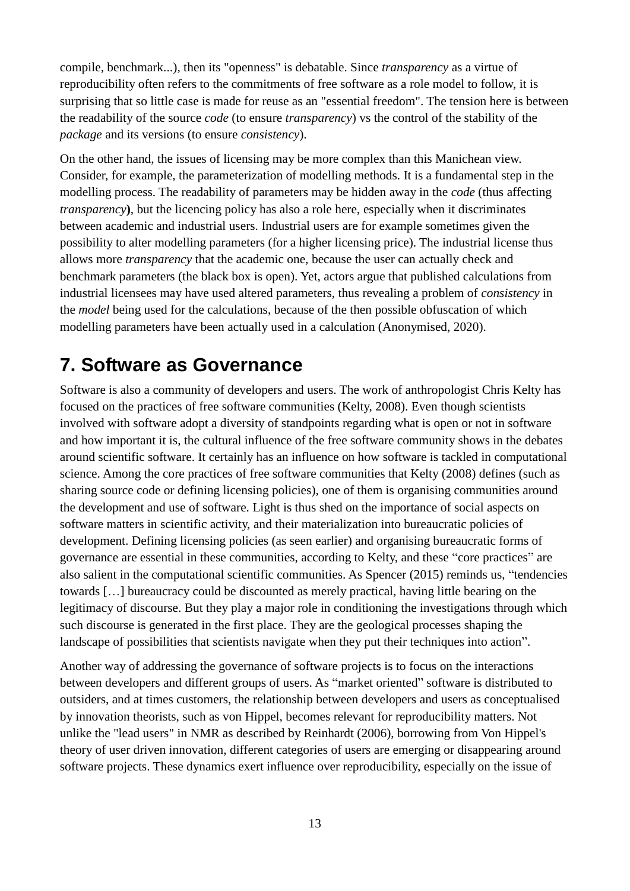compile, benchmark...), then its "openness" is debatable. Since *transparency* as a virtue of reproducibility often refers to the commitments of free software as a role model to follow, it is surprising that so little case is made for reuse as an "essential freedom". The tension here is between the readability of the source *code* (to ensure *transparency*) vs the control of the stability of the *package* and its versions (to ensure *consistency*).

On the other hand, the issues of licensing may be more complex than this Manichean view. Consider, for example, the parameterization of modelling methods. It is a fundamental step in the modelling process. The readability of parameters may be hidden away in the *code* (thus affecting *transparency***)**, but the licencing policy has also a role here, especially when it discriminates between academic and industrial users. Industrial users are for example sometimes given the possibility to alter modelling parameters (for a higher licensing price). The industrial license thus allows more *transparency* that the academic one, because the user can actually check and benchmark parameters (the black box is open). Yet, actors argue that published calculations from industrial licensees may have used altered parameters, thus revealing a problem of *consistency* in the *model* being used for the calculations, because of the then possible obfuscation of which modelling parameters have been actually used in a calculation (Anonymised, 2020).

#### **7. Software as Governance**

Software is also a community of developers and users. The work of anthropologist Chris Kelty has focused on the practices of free software communities (Kelty, 2008). Even though scientists involved with software adopt a diversity of standpoints regarding what is open or not in software and how important it is, the cultural influence of the free software community shows in the debates around scientific software. It certainly has an influence on how software is tackled in computational science. Among the core practices of free software communities that Kelty (2008) defines (such as sharing source code or defining licensing policies), one of them is organising communities around the development and use of software. Light is thus shed on the importance of social aspects on software matters in scientific activity, and their materialization into bureaucratic policies of development. Defining licensing policies (as seen earlier) and organising bureaucratic forms of governance are essential in these communities, according to Kelty, and these "core practices" are also salient in the computational scientific communities. As Spencer (2015) reminds us, "tendencies towards […] bureaucracy could be discounted as merely practical, having little bearing on the legitimacy of discourse. But they play a major role in conditioning the investigations through which such discourse is generated in the first place. They are the geological processes shaping the landscape of possibilities that scientists navigate when they put their techniques into action".

Another way of addressing the governance of software projects is to focus on the interactions between developers and different groups of users. As "market oriented" software is distributed to outsiders, and at times customers, the relationship between developers and users as conceptualised by innovation theorists, such as von Hippel, becomes relevant for reproducibility matters. Not unlike the "lead users" in NMR as described by Reinhardt (2006), borrowing from Von Hippel's theory of user driven innovation, different categories of users are emerging or disappearing around software projects. These dynamics exert influence over reproducibility, especially on the issue of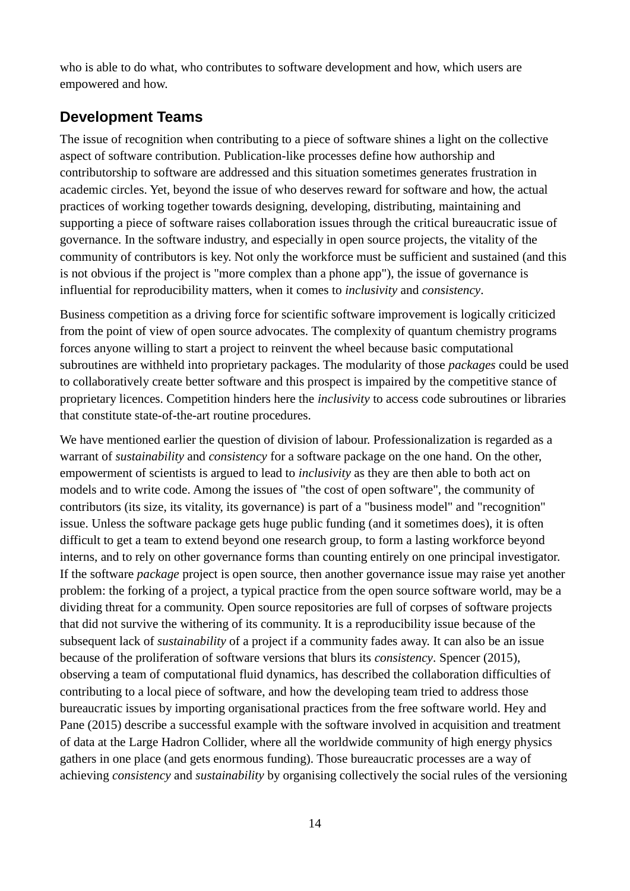who is able to do what, who contributes to software development and how, which users are empowered and how.

#### **Development Teams**

The issue of recognition when contributing to a piece of software shines a light on the collective aspect of software contribution. Publication-like processes define how authorship and contributorship to software are addressed and this situation sometimes generates frustration in academic circles. Yet, beyond the issue of who deserves reward for software and how, the actual practices of working together towards designing, developing, distributing, maintaining and supporting a piece of software raises collaboration issues through the critical bureaucratic issue of governance. In the software industry, and especially in open source projects, the vitality of the community of contributors is key. Not only the workforce must be sufficient and sustained (and this is not obvious if the project is "more complex than a phone app"), the issue of governance is influential for reproducibility matters, when it comes to *inclusivity* and *consistency*.

Business competition as a driving force for scientific software improvement is logically criticized from the point of view of open source advocates. The complexity of quantum chemistry programs forces anyone willing to start a project to reinvent the wheel because basic computational subroutines are withheld into proprietary packages. The modularity of those *packages* could be used to collaboratively create better software and this prospect is impaired by the competitive stance of proprietary licences. Competition hinders here the *inclusivity* to access code subroutines or libraries that constitute state-of-the-art routine procedures.

We have mentioned earlier the question of division of labour. Professionalization is regarded as a warrant of *sustainability* and *consistency* for a software package on the one hand. On the other, empowerment of scientists is argued to lead to *inclusivity* as they are then able to both act on models and to write code. Among the issues of "the cost of open software", the community of contributors (its size, its vitality, its governance) is part of a "business model" and "recognition" issue. Unless the software package gets huge public funding (and it sometimes does), it is often difficult to get a team to extend beyond one research group, to form a lasting workforce beyond interns, and to rely on other governance forms than counting entirely on one principal investigator. If the software *package* project is open source, then another governance issue may raise yet another problem: the forking of a project, a typical practice from the open source software world, may be a dividing threat for a community. Open source repositories are full of corpses of software projects that did not survive the withering of its community. It is a reproducibility issue because of the subsequent lack of *sustainability* of a project if a community fades away. It can also be an issue because of the proliferation of software versions that blurs its *consistency*. Spencer (2015), observing a team of computational fluid dynamics, has described the collaboration difficulties of contributing to a local piece of software, and how the developing team tried to address those bureaucratic issues by importing organisational practices from the free software world. Hey and Pane (2015) describe a successful example with the software involved in acquisition and treatment of data at the Large Hadron Collider, where all the worldwide community of high energy physics gathers in one place (and gets enormous funding). Those bureaucratic processes are a way of achieving *consistency* and *sustainability* by organising collectively the social rules of the versioning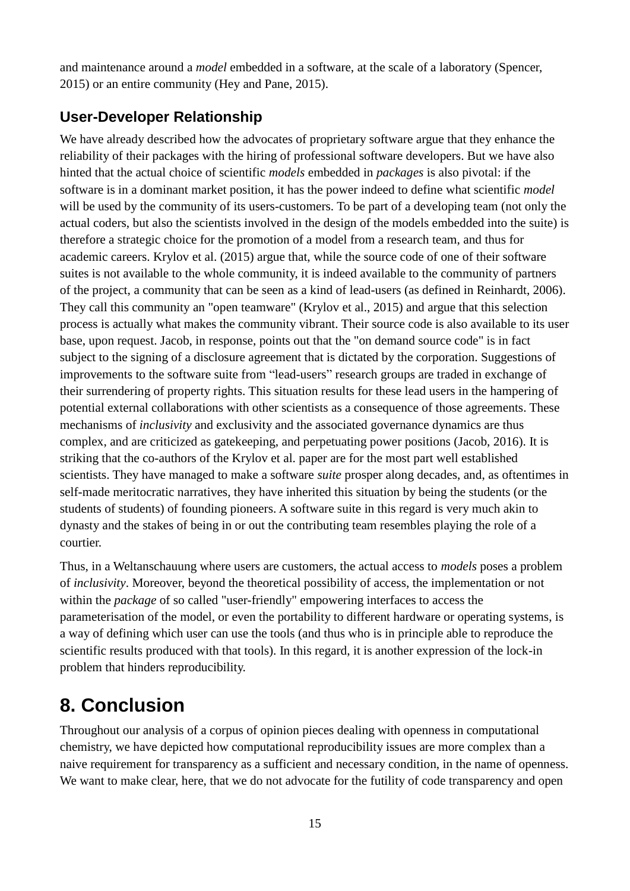and maintenance around a *model* embedded in a software, at the scale of a laboratory (Spencer, 2015) or an entire community (Hey and Pane, 2015).

#### **User-Developer Relationship**

We have already described how the advocates of proprietary software argue that they enhance the reliability of their packages with the hiring of professional software developers. But we have also hinted that the actual choice of scientific *models* embedded in *packages* is also pivotal: if the software is in a dominant market position, it has the power indeed to define what scientific *model* will be used by the community of its users-customers. To be part of a developing team (not only the actual coders, but also the scientists involved in the design of the models embedded into the suite) is therefore a strategic choice for the promotion of a model from a research team, and thus for academic careers. Krylov et al. (2015) argue that, while the source code of one of their software suites is not available to the whole community, it is indeed available to the community of partners of the project, a community that can be seen as a kind of lead-users (as defined in Reinhardt, 2006). They call this community an "open teamware" (Krylov et al., 2015) and argue that this selection process is actually what makes the community vibrant. Their source code is also available to its user base, upon request. Jacob, in response, points out that the "on demand source code" is in fact subject to the signing of a disclosure agreement that is dictated by the corporation. Suggestions of improvements to the software suite from "lead-users" research groups are traded in exchange of their surrendering of property rights. This situation results for these lead users in the hampering of potential external collaborations with other scientists as a consequence of those agreements. These mechanisms of *inclusivity* and exclusivity and the associated governance dynamics are thus complex, and are criticized as gatekeeping, and perpetuating power positions (Jacob, 2016). It is striking that the co-authors of the Krylov et al. paper are for the most part well established scientists. They have managed to make a software *suite* prosper along decades, and, as oftentimes in self-made meritocratic narratives, they have inherited this situation by being the students (or the students of students) of founding pioneers. A software suite in this regard is very much akin to dynasty and the stakes of being in or out the contributing team resembles playing the role of a courtier.

Thus, in a Weltanschauung where users are customers, the actual access to *models* poses a problem of *inclusivity*. Moreover, beyond the theoretical possibility of access, the implementation or not within the *package* of so called "user-friendly" empowering interfaces to access the parameterisation of the model, or even the portability to different hardware or operating systems, is a way of defining which user can use the tools (and thus who is in principle able to reproduce the scientific results produced with that tools). In this regard, it is another expression of the lock-in problem that hinders reproducibility.

### **8. Conclusion**

Throughout our analysis of a corpus of opinion pieces dealing with openness in computational chemistry, we have depicted how computational reproducibility issues are more complex than a naive requirement for transparency as a sufficient and necessary condition, in the name of openness. We want to make clear, here, that we do not advocate for the futility of code transparency and open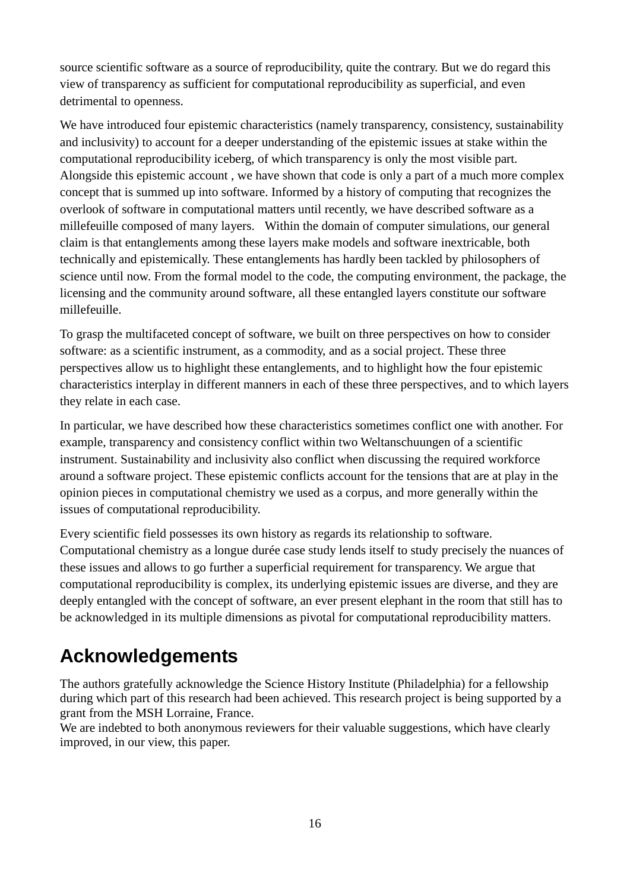source scientific software as a source of reproducibility, quite the contrary. But we do regard this view of transparency as sufficient for computational reproducibility as superficial, and even detrimental to openness.

We have introduced four epistemic characteristics (namely transparency, consistency, sustainability and inclusivity) to account for a deeper understanding of the epistemic issues at stake within the computational reproducibility iceberg, of which transparency is only the most visible part. Alongside this epistemic account , we have shown that code is only a part of a much more complex concept that is summed up into software. Informed by a history of computing that recognizes the overlook of software in computational matters until recently, we have described software as a millefeuille composed of many layers. Within the domain of computer simulations, our general claim is that entanglements among these layers make models and software inextricable, both technically and epistemically. These entanglements has hardly been tackled by philosophers of science until now. From the formal model to the code, the computing environment, the package, the licensing and the community around software, all these entangled layers constitute our software millefeuille.

To grasp the multifaceted concept of software, we built on three perspectives on how to consider software: as a scientific instrument, as a commodity, and as a social project. These three perspectives allow us to highlight these entanglements, and to highlight how the four epistemic characteristics interplay in different manners in each of these three perspectives, and to which layers they relate in each case.

In particular, we have described how these characteristics sometimes conflict one with another. For example, transparency and consistency conflict within two Weltanschuungen of a scientific instrument. Sustainability and inclusivity also conflict when discussing the required workforce around a software project. These epistemic conflicts account for the tensions that are at play in the opinion pieces in computational chemistry we used as a corpus, and more generally within the issues of computational reproducibility.

Every scientific field possesses its own history as regards its relationship to software. Computational chemistry as a longue durée case study lends itself to study precisely the nuances of these issues and allows to go further a superficial requirement for transparency. We argue that computational reproducibility is complex, its underlying epistemic issues are diverse, and they are deeply entangled with the concept of software, an ever present elephant in the room that still has to be acknowledged in its multiple dimensions as pivotal for computational reproducibility matters.

### **Acknowledgements**

The authors gratefully acknowledge the Science History Institute (Philadelphia) for a fellowship during which part of this research had been achieved. This research project is being supported by a grant from the MSH Lorraine, France.

We are indebted to both anonymous reviewers for their valuable suggestions, which have clearly improved, in our view, this paper.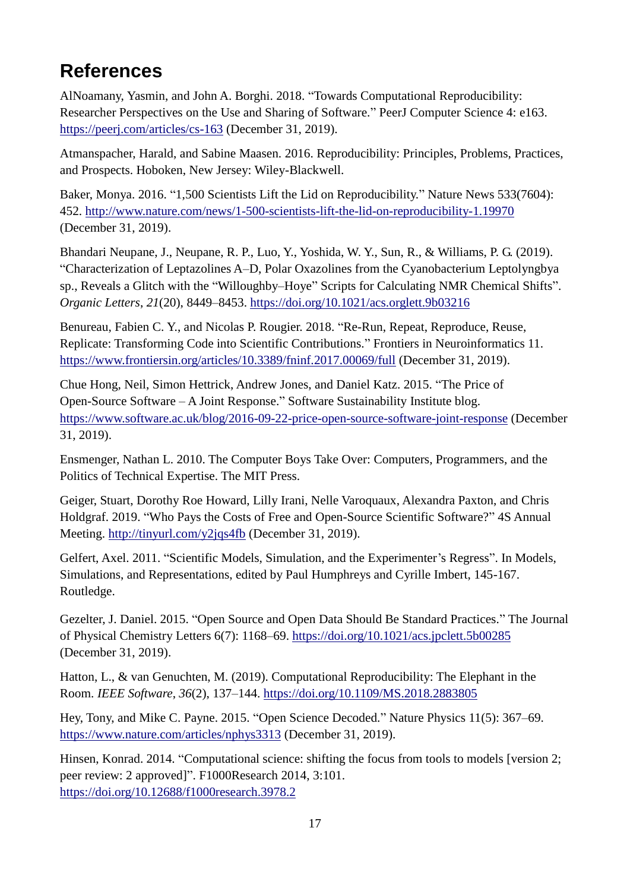### **References**

AlNoamany, Yasmin, and John A. Borghi. 2018. "Towards Computational Reproducibility: Researcher Perspectives on the Use and Sharing of Software." PeerJ Computer Science 4: e163. <https://peerj.com/articles/cs-163> (December 31, 2019).

Atmanspacher, Harald, and Sabine Maasen. 2016. Reproducibility: Principles, Problems, Practices, and Prospects. Hoboken, New Jersey: Wiley-Blackwell.

Baker, Monya. 2016. "1,500 Scientists Lift the Lid on Reproducibility." Nature News 533(7604): 452.<http://www.nature.com/news/1-500-scientists-lift-the-lid-on-reproducibility-1.19970> (December 31, 2019).

Bhandari Neupane, J., Neupane, R. P., Luo, Y., Yoshida, W. Y., Sun, R., & Williams, P. G. (2019). "Characterization of Leptazolines A–D, Polar Oxazolines from the Cyanobacterium Leptolyngbya sp., Reveals a Glitch with the "Willoughby–Hoye" Scripts for Calculating NMR Chemical Shifts". *Organic Letters*, *21*(20), 8449–8453.<https://doi.org/10.1021/acs.orglett.9b03216>

Benureau, Fabien C. Y., and Nicolas P. Rougier. 2018. "Re-Run, Repeat, Reproduce, Reuse, Replicate: Transforming Code into Scientific Contributions." Frontiers in Neuroinformatics 11. <https://www.frontiersin.org/articles/10.3389/fninf.2017.00069/full> (December 31, 2019).

Chue Hong, Neil, Simon Hettrick, Andrew Jones, and Daniel Katz. 2015. "The Price of Open-Source Software – A Joint Response." Software Sustainability Institute blog. <https://www.software.ac.uk/blog/2016-09-22-price-open-source-software-joint-response> (December 31, 2019).

Ensmenger, Nathan L. 2010. The Computer Boys Take Over: Computers, Programmers, and the Politics of Technical Expertise. The MIT Press.

Geiger, Stuart, Dorothy Roe Howard, Lilly Irani, Nelle Varoquaux, Alexandra Paxton, and Chris Holdgraf. 2019. "Who Pays the Costs of Free and Open-Source Scientific Software?" 4S Annual Meeting.<http://tinyurl.com/y2jqs4fb> (December 31, 2019).

Gelfert, Axel. 2011. "Scientific Models, Simulation, and the Experimenter's Regress". In Models, Simulations, and Representations, edited by Paul Humphreys and Cyrille Imbert, 145-167. Routledge.

Gezelter, J. Daniel. 2015. "Open Source and Open Data Should Be Standard Practices." The Journal of Physical Chemistry Letters 6(7): 1168–69.<https://doi.org/10.1021/acs.jpclett.5b00285> (December 31, 2019).

Hatton, L., & van Genuchten, M. (2019). Computational Reproducibility: The Elephant in the Room. *IEEE Software*, *36*(2), 137–144.<https://doi.org/10.1109/MS.2018.2883805>

Hey, Tony, and Mike C. Payne. 2015. "Open Science Decoded." Nature Physics 11(5): 367–69. <https://www.nature.com/articles/nphys3313> (December 31, 2019).

Hinsen, Konrad. 2014. "Computational science: shifting the focus from tools to models [version 2; peer review: 2 approved]". F1000Research 2014, 3:101. <https://doi.org/10.12688/f1000research.3978.2>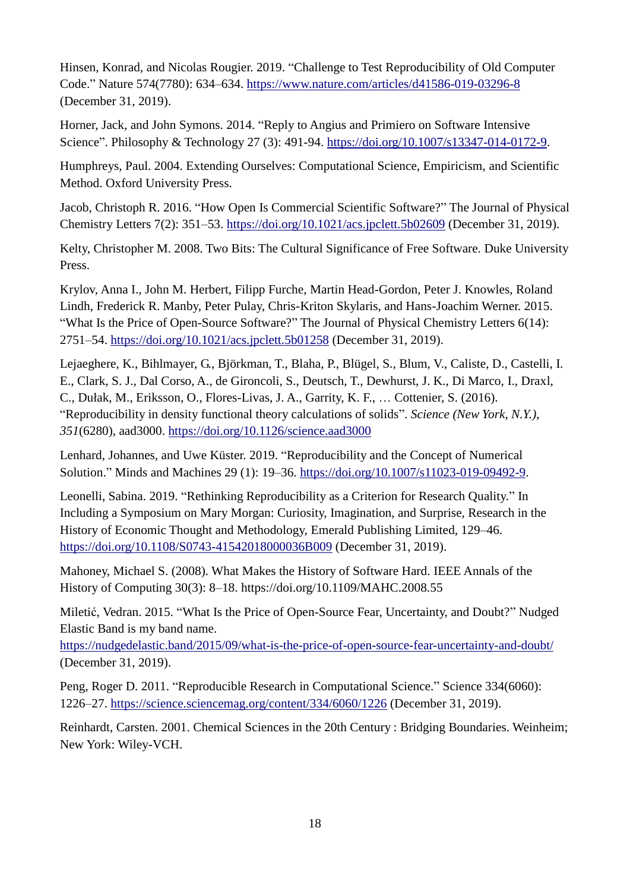Hinsen, Konrad, and Nicolas Rougier. 2019. "Challenge to Test Reproducibility of Old Computer Code." Nature 574(7780): 634–634.<https://www.nature.com/articles/d41586-019-03296-8> (December 31, 2019).

Horner, Jack, and John Symons. 2014. "Reply to Angius and Primiero on Software Intensive Science". Philosophy & Technology 27 (3): 491-94. [https://doi.org/10.1007/s13347-014-0172-9.](https://doi.org/10.1007/s13347-014-0172-9)

Humphreys, Paul. 2004. Extending Ourselves: Computational Science, Empiricism, and Scientific Method. Oxford University Press.

Jacob, Christoph R. 2016. "How Open Is Commercial Scientific Software?" The Journal of Physical Chemistry Letters 7(2): 351–53.<https://doi.org/10.1021/acs.jpclett.5b02609> (December 31, 2019).

Kelty, Christopher M. 2008. Two Bits: The Cultural Significance of Free Software. Duke University Press.

Krylov, Anna I., John M. Herbert, Filipp Furche, Martin Head-Gordon, Peter J. Knowles, Roland Lindh, Frederick R. Manby, Peter Pulay, Chris-Kriton Skylaris, and Hans-Joachim Werner. 2015. "What Is the Price of Open-Source Software?" The Journal of Physical Chemistry Letters 6(14): 2751–54.<https://doi.org/10.1021/acs.jpclett.5b01258> (December 31, 2019).

Lejaeghere, K., Bihlmayer, G., Björkman, T., Blaha, P., Blügel, S., Blum, V., Caliste, D., Castelli, I. E., Clark, S. J., Dal Corso, A., de Gironcoli, S., Deutsch, T., Dewhurst, J. K., Di Marco, I., Draxl, C., Dułak, M., Eriksson, O., Flores-Livas, J. A., Garrity, K. F., … Cottenier, S. (2016). "Reproducibility in density functional theory calculations of solids". *Science (New York, N.Y.)*, *351*(6280), aad3000.<https://doi.org/10.1126/science.aad3000>

Lenhard, Johannes, and Uwe Küster. 2019. "Reproducibility and the Concept of Numerical Solution." Minds and Machines 29 (1): 19–36. [https://doi.org/10.1007/s11023-019-09492-9.](https://doi.org/10.1007/s11023-019-09492-9)

Leonelli, Sabina. 2019. "Rethinking Reproducibility as a Criterion for Research Quality." In Including a Symposium on Mary Morgan: Curiosity, Imagination, and Surprise, Research in the History of Economic Thought and Methodology, Emerald Publishing Limited, 129–46. <https://doi.org/10.1108/S0743-41542018000036B009> (December 31, 2019).

Mahoney, Michael S. (2008). What Makes the History of Software Hard. IEEE Annals of the History of Computing 30(3): 8–18. https://doi.org/10.1109/MAHC.2008.55

Miletić, Vedran. 2015. "What Is the Price of Open-Source Fear, Uncertainty, and Doubt?" Nudged Elastic Band is my band name.

<https://nudgedelastic.band/2015/09/what-is-the-price-of-open-source-fear-uncertainty-and-doubt/> (December 31, 2019).

Peng, Roger D. 2011. "Reproducible Research in Computational Science." Science 334(6060): 1226–27.<https://science.sciencemag.org/content/334/6060/1226> (December 31, 2019).

Reinhardt, Carsten. 2001. Chemical Sciences in the 20th Century : Bridging Boundaries. Weinheim; New York: Wiley-VCH.